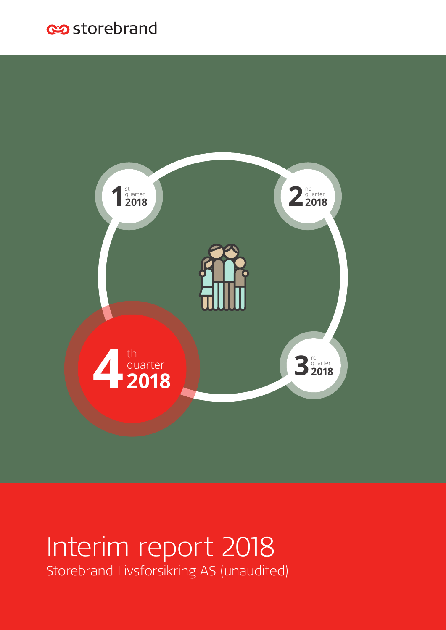# es storebrand



# Interim report 2018 Storebrand Livsforsikring AS (unaudited)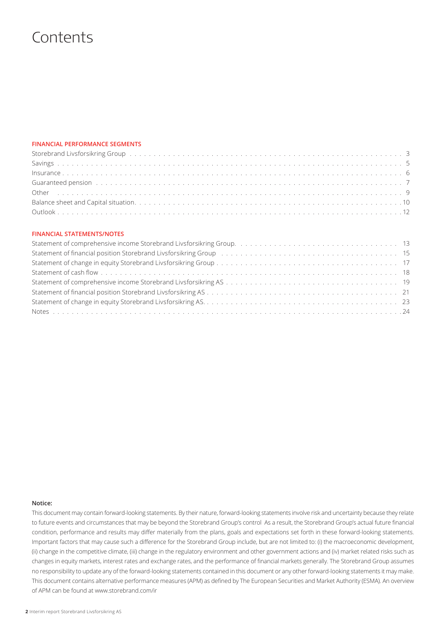## **Contents**

### **FINANCIAL PERFORMANCE SEGMENTS**

| Storebrand Livsforsikring Group by the content of the content of the content of the content of the content of the content of the content of the content of the content of the content of the content of the content of the con |  |
|--------------------------------------------------------------------------------------------------------------------------------------------------------------------------------------------------------------------------------|--|
|                                                                                                                                                                                                                                |  |
|                                                                                                                                                                                                                                |  |
| Guaranteed pension (and a series of the control of the control of the control of the control of the control of the control of the control of the control of the control of the control of the control of the control of the co |  |
|                                                                                                                                                                                                                                |  |
|                                                                                                                                                                                                                                |  |
|                                                                                                                                                                                                                                |  |

### **FINANCIAL STATEMENTS/NOTES**

#### **Notice:**

This document may contain forward-looking statements. By their nature, forward-looking statements involve risk and uncertainty because they relate to future events and circumstances that may be beyond the Storebrand Group's control As a result, the Storebrand Group's actual future financial condition, performance and results may differ materially from the plans, goals and expectations set forth in these forward-looking statements. Important factors that may cause such a difference for the Storebrand Group include, but are not limited to: (i) the macroeconomic development, (ii) change in the competitive climate, (iii) change in the regulatory environment and other government actions and (iv) market related risks such as changes in equity markets, interest rates and exchange rates, and the performance of financial markets generally. The Storebrand Group assumes no responsibility to update any of the forward-looking statements contained in this document or any other forward-looking statements it may make. This document contains alternative performance measures (APM) as defined by The European Securities and Market Authority (ESMA). An overview of APM can be found at www.storebrand.com/ir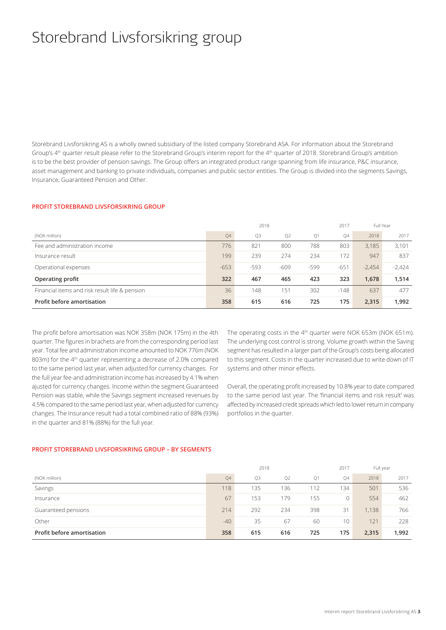# Storebrand Livsforsikring group

Storebrand Livsforsikring AS is a wholly owned subsidiary of the listed company Storebrand ASA. For information about the Storebrand Group's 4<sup>th</sup> quarter result please refer to the Storebrand Group's interim report for the 4<sup>th</sup> quarter of 2018. Storebrand Group's ambition is to be the best provider of pension savings. The Group offers an integrated product range spanning from life insurance, P&C insurance, asset management and banking to private individuals, companies and public sector entities. The Group is divided into the segments Savings, Insurance, Guaranteed Pension and Other.

#### **PROFIT STOREBRAND LIVSFORSIKRING GROUP**

|                                                |                | 2018   |        |        | 2017   | Full Year |          |
|------------------------------------------------|----------------|--------|--------|--------|--------|-----------|----------|
| (NOK million)                                  | Q <sub>4</sub> | Q3     | Q2     | Q1     | Q4     | 2018      | 2017     |
| Fee and administration income                  | 776            | 821    | 800    | 788    | 803    | 3.185     | 3,101    |
| Insurance result                               | 199            | 239    | 274    | 234    | 172    | 947       | 837      |
| Operational expenses                           | $-653$         | $-593$ | $-609$ | $-599$ | $-651$ | $-2.454$  | $-2.424$ |
| Operating profit                               | 322            | 467    | 465    | 423    | 323    | 1,678     | 1,514    |
| Financial items and risk result life & pension | 36             | 148    | 151    | 302    | $-148$ | 637       | 477      |
| Profit before amortisation                     | 358            | 615    | 616    | 725    | 175    | 2,315     | 1,992    |

The profit before amortisation was NOK 358m (NOK 175m) in the 4th quarter. The figures in brachets are from the corresponding period last year. Total fee and administration income amounted to NOK 776m (NOK 803m) for the 4<sup>th</sup> quarter representing a decrease of 2.0% compared to the same period last year, when adjusted for currency changes. For the full year fee-and administration income has increased by 4.1% when ajusted for currency changes. Income within the segment Guaranteed Pension was stable, while the Savings segment increased revenues by 4.5% compared to the same period last year, when adjusted for currency changes. The Insurance result had a total combined ratio of 88% (93%) in the quarter and 81% (88%) for the full year.

The operating costs in the 4<sup>th</sup> quarter were NOK 653m (NOK 651m). The underlying cost control is strong. Volume growth within the Saving segment has resulted in a larger part of the Group's costs being allocated to this segment. Costs in the quarter increased due to write down of IT systems and other minor effects.

Overall, the operating profit increased by 10.8% year to date compared to the same period last year. The 'financial items and risk result' was affected by increased credit spreads which led to lower return in company portfolios in the quarter.

#### **PROFIT STOREBRAND LIVSFORSIKRING GROUP – BY SEGMENTS**

|                            | 2018  |     |                |     |              |       | Full year |
|----------------------------|-------|-----|----------------|-----|--------------|-------|-----------|
| (NOK million)              | Q4    | Q3  | Q <sub>2</sub> | Q1  | Q4           | 2018  | 2017      |
| Savings                    | 118   | 135 | 136            | 112 | 134          | 501   | 536       |
| Insurance                  | 67    | 153 | 179            | 155 | $\mathbf{0}$ | 554   | 462       |
| Guaranteed pensions        | 214   | 292 | 234            | 398 | 31           | 1,138 | 766       |
| Other                      | $-40$ | 35  | 67             | 60  | 10           | 121   | 228       |
| Profit before amortisation | 358   | 615 | 616            | 725 | 175          | 2,315 | 1,992     |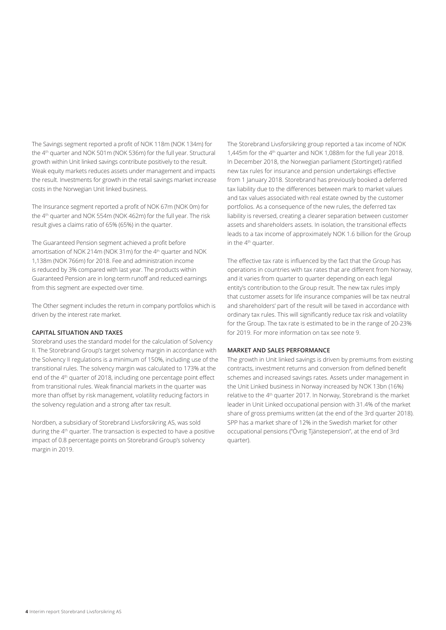The Savings segment reported a profit of NOK 118m (NOK 134m) for the 4th quarter and NOK 501m (NOK 536m) for the full year. Structural growth within Unit linked savings contribute positively to the result. Weak equity markets reduces assets under management and impacts the result. Investments for growth in the retail savings market increase costs in the Norwegian Unit linked business.

The Insurance segment reported a profit of NOK 67m (NOK 0m) for the 4<sup>th</sup> quarter and NOK 554m (NOK 462m) for the full year. The risk result gives a claims ratio of 65% (65%) in the quarter.

The Guaranteed Pension segment achieved a profit before amortisation of NOK 214m (NOK 31m) for the 4<sup>th</sup> quarter and NOK 1,138m (NOK 766m) for 2018. Fee and administration income is reduced by 3% compared with last year. The products within Guaranteed Pension are in long-term runoff and reduced earnings from this segment are expected over time.

The Other segment includes the return in company portfolios which is driven by the interest rate market.

#### **CAPITAL SITUATION AND TAXES**

Storebrand uses the standard model for the calculation of Solvency II. The Storebrand Group's target solvency margin in accordance with the Solvency II regulations is a minimum of 150%, including use of the transitional rules. The solvency margin was calculated to 173% at the end of the 4<sup>th</sup> quarter of 2018, including one percentage point effect from transitional rules. Weak financial markets in the quarter was more than offset by risk management, volatility reducing factors in the solvency regulation and a strong after tax result.

Nordben, a subsidiary of Storebrand Livsforsikring AS, was sold during the 4<sup>th</sup> quarter. The transaction is expected to have a positive impact of 0.8 percentage points on Storebrand Group's solvency margin in 2019.

The Storebrand Livsforsikring group reported a tax income of NOK 1,445m for the 4<sup>th</sup> quarter and NOK 1,088m for the full year 2018. In December 2018, the Norwegian parliament (Stortinget) ratified new tax rules for insurance and pension undertakings effective from 1 January 2018. Storebrand has previously booked a deferred tax liability due to the differences between mark to market values and tax values associated with real estate owned by the customer portfolios. As a consequence of the new rules, the deferred tax liability is reversed, creating a clearer separation between customer assets and shareholders assets. In isolation, the transitional effects leads to a tax income of approximately NOK 1.6 billion for the Group in the 4<sup>th</sup> quarter.

The effective tax rate is influenced by the fact that the Group has operations in countries with tax rates that are different from Norway, and it varies from quarter to quarter depending on each legal entity's contribution to the Group result. The new tax rules imply that customer assets for life insurance companies will be tax neutral and shareholders' part of the result will be taxed in accordance with ordinary tax rules. This will significantly reduce tax risk and volatility for the Group. The tax rate is estimated to be in the range of 20-23% for 2019. For more information on tax see note 9.

#### **MARKET AND SALES PERFORMANCE**

The growth in Unit linked savings is driven by premiums from existing contracts, investment returns and conversion from defined benefit schemes and increased savings rates. Assets under management in the Unit Linked business in Norway increased by NOK 13bn (16%) relative to the 4<sup>th</sup> quarter 2017. In Norway, Storebrand is the market leader in Unit Linked occupational pension with 31.4% of the market share of gross premiums written (at the end of the 3rd quarter 2018). SPP has a market share of 12% in the Swedish market for other occupational pensions ("Övrig Tjänstepension", at the end of 3rd quarter).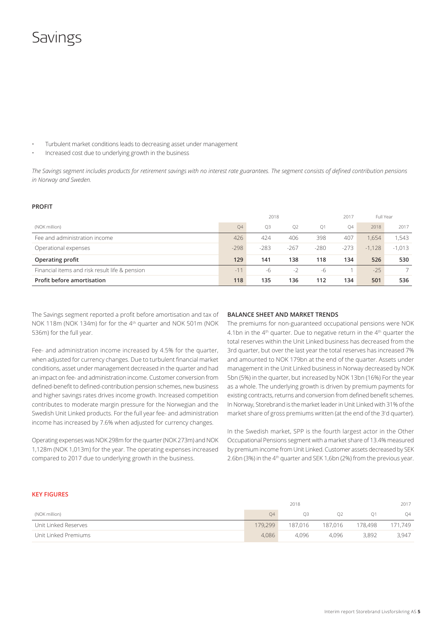## Savings

- Turbulent market conditions leads to decreasing asset under management
- Increased cost due to underlying growth in the business

*The Savings segment includes products for retirement savings with no interest rate guarantees. The segment consists of defined contribution pensions in Norway and Sweden.* 

#### **PROFIT**

|                                                | 2018   |        |                |        |        | Full Year |          |
|------------------------------------------------|--------|--------|----------------|--------|--------|-----------|----------|
| (NOK million)                                  | Q4     | Q3     | O <sub>2</sub> | O1     | Q4     | 2018      | 2017     |
| Fee and administration income                  | 426    | 424    | 406            | 398    | 407    | 1.654     | 1,543    |
| Operational expenses                           | $-298$ | $-283$ | $-267$         | $-280$ | $-273$ | $-1,128$  | $-1,013$ |
| Operating profit                               | 129    | 141    | 138            | 118    | 134    | 526       | 530      |
| Financial items and risk result life & pension | $-11$  | -6     | $-2$           | -6     |        | $-25$     |          |
| Profit before amortisation                     | 118    | 135    | 136            | 112    | 134    | 501       | 536      |

The Savings segment reported a profit before amortisation and tax of NOK 118m (NOK 134m) for for the 4<sup>th</sup> quarter and NOK 501m (NOK 536m) for the full year.

Fee- and administration income increased by 4.5% for the quarter, when adjusted for currency changes. Due to turbulent financial market conditions, asset under management decreased in the quarter and had an impact on fee- and administration income. Customer conversion from defined-benefit to defined-contribution pension schemes, new business and higher savings rates drives income growth. Increased competition contributes to moderate margin pressure for the Norwegian and the Swedish Unit Linked products. For the full year fee- and administration income has increased by 7.6% when adjusted for currency changes.

Operating expenses was NOK 298m for the quarter (NOK 273m) and NOK 1,128m (NOK 1,013m) for the year. The operating expenses increased compared to 2017 due to underlying growth in the business.

#### **BALANCE SHEET AND MARKET TRENDS**

The premiums for non-guaranteed occupational pensions were NOK 4.1bn in the  $4<sup>th</sup>$  quarter. Due to negative return in the  $4<sup>th</sup>$  quarter the total reserves within the Unit Linked business has decreased from the 3rd quarter, but over the last year the total reserves has increased 7% and amounted to NOK 179bn at the end of the quarter. Assets under management in the Unit Linked business in Norway decreased by NOK 5bn (5%) in the quarter, but increased by NOK 13bn (16%) For the year as a whole. The underlying growth is driven by premium payments for existing contracts, returns and conversion from defined benefit schemes. In Norway, Storebrand is the market leader in Unit Linked with 31% of the market share of gross premiums written (at the end of the 3<sup>r</sup> d quarter).

In the Swedish market, SPP is the fourth largest actor in the Other Occupational Pensions segment with a market share of 13.4% measured by premium income from Unit Linked. Customer assets decreased by SEK 2.6bn (3%) in the 4th quarter and SEK 1,6bn (2%) from the previous year.

#### **KEY FIGURES**

|                      |         | 2018    |                |         | 2017    |
|----------------------|---------|---------|----------------|---------|---------|
| (NOK million)        | 04      | O3      | O <sub>2</sub> |         | Q4      |
| Unit Linked Reserves | 179,299 | 187.016 | 187.016        | 178.498 | 171.749 |
| Unit Linked Premiums | 4.086   | 4.096   | 4.096          | 3.892   | 3,947   |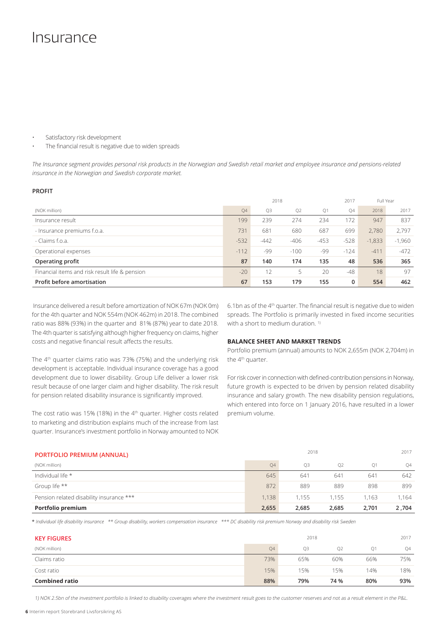## Insurance

Satisfactory risk development

The financial result is negative due to widen spreads

*The Insurance segment provides personal risk products in the Norwegian and Swedish retail market and employee insurance and pensions-related insurance in the Norwegian and Swedish corporate market.*

#### **PROFIT**

|                                                | 2018   |        |        |        | 2017   | Full Year |          |
|------------------------------------------------|--------|--------|--------|--------|--------|-----------|----------|
| (NOK million)                                  | Q4     | Q3     | Q2     | Q1     | Q4     | 2018      | 2017     |
| Insurance result                               | 199    | 239    | 274    | 234    | 172    | 947       | 837      |
| - Insurance premiums f.o.a.                    | 731    | 681    | 680    | 687    | 699    | 2.780     | 2.797    |
| - Claims f.o.a.                                | $-532$ | $-442$ | $-406$ | $-453$ | $-528$ | $-1,833$  | $-1,960$ |
| Operational expenses                           | $-112$ | -99    | $-100$ | -99    | $-124$ | $-411$    | $-472$   |
| Operating profit                               | 87     | 140    | 174    | 135    | 48     | 536       | 365      |
| Financial items and risk result life & pension | $-20$  | 12     | 5      | 20     | $-48$  | 18        | 97       |
| <b>Profit before amortisation</b>              | 67     | 153    | 179    | 155    | 0      | 554       | 462      |

 Insurance delivered a result before amortization of NOK 67m (NOK 0m) for the 4th quarter and NOK 554m (NOK 462m) in 2018. The combined ratio was 88% (93%) in the quarter and 81% (87%) year to date 2018. The 4th quarter is satisfying although higher frequency on claims, higher costs and negative financial result affects the results.

The 4<sup>th</sup> quarter claims ratio was 73% (75%) and the underlying risk development is acceptable. Individual insurance coverage has a good development due to lower disability. Group Life deliver a lower risk result because of one larger claim and higher disability. The risk result for pension related disability insurance is significantly improved.

The cost ratio was 15% (18%) in the  $4<sup>th</sup>$  quarter. Higher costs related to marketing and distribution explains much of the increase from last quarter. Insurance's investment portfolio in Norway amounted to NOK 6.1bn as of the 4th quarter. The financial result is negative due to widen spreads. The Portfolio is primarily invested in fixed income securities with a short to medium duration.<sup>1)</sup>

#### **BALANCE SHEET AND MARKET TRENDS**

Portfolio premium (annual) amounts to NOK 2,655m (NOK 2,704m) in the 4<sup>th</sup> quarter.

For risk cover in connection with defined-contribution pensions in Norway, future growth is expected to be driven by pension related disability insurance and salary growth. The new disability pension regulations, which entered into force on 1 January 2016, have resulted in a lower premium volume.

| <b>PORTFOLIO PREMIUM (ANNUAL)</b>        |           |                | 2017           |                |       |
|------------------------------------------|-----------|----------------|----------------|----------------|-------|
| (NOK million)                            | <b>O4</b> | O <sub>3</sub> | O <sub>2</sub> | O <sub>1</sub> | Q4    |
| Individual life *                        | 645       | 641            | 641            | 641            | 642   |
| Group life **                            | 872       | 889            | 889            | 898            | 899   |
| Pension related disability insurance *** | 1.138     | 1.155          | 1.155          | 1.163          | 1.164 |
| Portfolio premium                        | 2,655     | 2,685          | 2,685          | 2,701          | 2,704 |

\* *Individual life disability insurance \*\* Group disability, workers compensation insurance \*\*\* DC disability risk premium Norway and disability risk Sweden*

| <b>KEY FIGURES</b>    |                          | 2017           |      |     |           |
|-----------------------|--------------------------|----------------|------|-----|-----------|
| (NOK million)         | <b>Q4</b>                | O <sub>3</sub> | Q2   | O1  | <b>Q4</b> |
| Claims ratio          | 73%<br>66%<br>65%<br>60% |                |      |     | 75%       |
| Cost ratio            | 15%                      | 15%            | 15%  | 14% | 18%       |
| <b>Combined ratio</b> | 88%                      | 79%            | 74 % | 80% | 93%       |

1) NOK 2.5bn of the investment portfolio is linked to disability coverages where the investment result goes to the customer reserves and not as a result element in the P&L.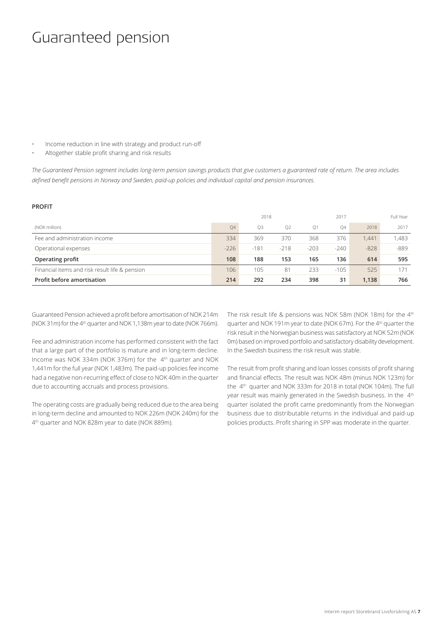## Guaranteed pension

- Income reduction in line with strategy and product run-off
- Altogether stable profit sharing and risk results

*The Guaranteed Pension segment includes long-term pension savings products that give customers a guaranteed rate of return. The area includes defined benefit pensions in Norway and Sweden, paid-up policies and individual capital and pension insurances.*

#### **PROFIT**

|                                                |           | 2018           |                |                | 2017   |        | Full Year |
|------------------------------------------------|-----------|----------------|----------------|----------------|--------|--------|-----------|
| (NOK million)                                  | <b>O4</b> | O <sub>3</sub> | O <sub>2</sub> | O <sub>1</sub> | 04     | 2018   | 2017      |
| Fee and administration income                  | 334       | 369            | 370            | 368            | 376    | 1.441  | 1,483     |
| Operational expenses                           | $-226$    | $-181$         | $-218$         | $-203$         | $-240$ | $-828$ | -889      |
| Operating profit                               | 108       | 188            | 153            | 165            | 136    | 614    | 595       |
| Financial items and risk result life & pension | 106       | 105            | 81             | 233            | $-105$ | 525    |           |
| Profit before amortisation                     | 214       | 292            | 234            | 398            | 31     | 1.138  | 766       |

Guaranteed Pension achieved a profit before amortisation of NOK 214m (NOK 31m) for the 4th quarter and NOK 1,138m year to date (NOK 766m).

Fee and administration income has performed consistent with the fact that a large part of the portfolio is mature and in long-term decline. Income was NOK 334m (NOK 376m) for the 4<sup>th</sup> quarter and NOK 1,441m for the full year (NOK 1,483m). The paid-up policies fee income had a negative non-recurring effect of close to NOK 40m in the quarter due to accounting accruals and process provisions.

The operating costs are gradually being reduced due to the area being in long-term decline and amounted to NOK 226m (NOK 240m) for the 4<sup>th</sup> quarter and NOK 828m year to date (NOK 889m).

The risk result life & pensions was NOK 58m (NOK 18m) for the 4th quarter and NOK 191m year to date (NOK 67m). For the 4th quarter the risk result in the Norwegian business was satisfactory at NOK 52m (NOK 0m) based on improved portfolio and satisfactory disability development. In the Swedish business the risk result was stable.

The result from profit sharing and loan losses consists of profit sharing and financial effects. The result was NOK 48m (minus NOK 123m) for the 4th quarter and NOK 333m for 2018 in total (NOK 104m). The full year result was mainly generated in the Swedish business. In the 4<sup>th</sup> quarter isolated the profit came predominantly from the Norwegian business due to distributable returns in the individual and paid-up policies products. Profit sharing in SPP was moderate in the quarter.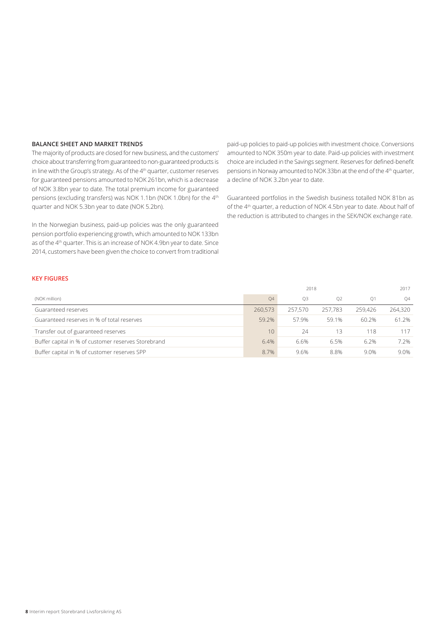### **BALANCE SHEET AND MARKET TRENDS**

The majority of products are closed for new business, and the customers' choice about transferring from guaranteed to non-guaranteed products is in line with the Group's strategy. As of the 4<sup>th</sup> quarter, customer reserves for guaranteed pensions amounted to NOK 261bn, which is a decrease of NOK 3.8bn year to date. The total premium income for guaranteed pensions (excluding transfers) was NOK 1.1bn (NOK 1.0bn) for the 4<sup>th</sup> quarter and NOK 5.3bn year to date (NOK 5.2bn).

In the Norwegian business, paid-up policies was the only guaranteed pension portfolio experiencing growth, which amounted to NOK 133bn as of the 4<sup>th</sup> quarter. This is an increase of NOK 4.9bn year to date. Since 2014, customers have been given the choice to convert from traditional

paid-up policies to paid-up policies with investment choice. Conversions amounted to NOK 350m year to date. Paid-up policies with investment choice are included in the Savings segment. Reserves for defined-benefit pensions in Norway amounted to NOK 33bn at the end of the 4<sup>th</sup> quarter, a decline of NOK 3.2bn year to date.

Guaranteed portfolios in the Swedish business totalled NOK 81bn as of the 4th quarter, a reduction of NOK 4.5bn year to date. About half of the reduction is attributed to changes in the SEK/NOK exchange rate.

#### **KEY FIGURES**

|                                                     |         |         | 2017           |                |         |
|-----------------------------------------------------|---------|---------|----------------|----------------|---------|
| (NOK million)                                       | Q4      | O3      | O <sub>2</sub> | O <sub>1</sub> | O4      |
| Guaranteed reserves                                 | 260,573 | 257.570 | 257.783        | 259,426        | 264,320 |
| Guaranteed reserves in % of total reserves          | 59.2%   | 57.9%   | 59.1%          | 60.2%          | 61.2%   |
| Transfer out of guaranteed reserves                 | 10      | 24      | 13             | 118            | 117     |
| Buffer capital in % of customer reserves Storebrand | 6.4%    | 6.6%    | 6.5%           | 6.2%           | 7.2%    |
| Buffer capital in % of customer reserves SPP        | 8.7%    | 9.6%    | 8.8%           | 9.0%           | 9.0%    |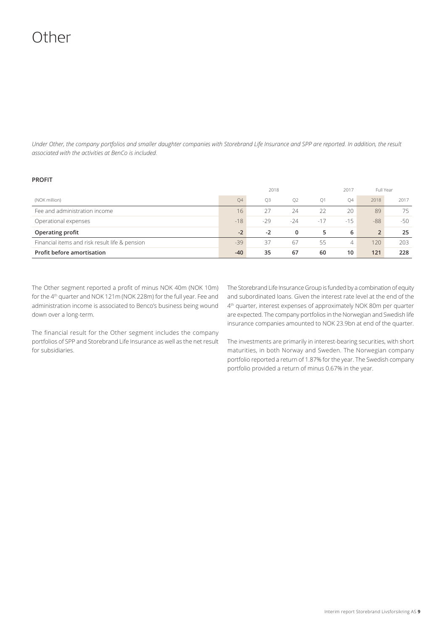# Other

*Under Other, the company portfolios and smaller daughter companies with Storebrand Life Insurance and SPP are reported. In addition, the result associated with the activities at BenCo is included.*

### **PROFIT**

|                                                | 2018<br>2017 |                |                |                |        | Full Year      |       |
|------------------------------------------------|--------------|----------------|----------------|----------------|--------|----------------|-------|
| (NOK million)                                  | 04           | O <sub>3</sub> | O <sub>2</sub> | O <sub>1</sub> | Q4     | 2018           | 2017  |
| Fee and administration income                  | 16           | 27             | 24             | 22             | 20     | 89             | 75    |
| Operational expenses                           | $-18$        | $-29$          | $-24$          | $-17$          | $-1.5$ | $-88$          | $-50$ |
| Operating profit                               | $-2$         | $-2$           | 0              | 5              | 6      | $\overline{2}$ | 25    |
| Financial items and risk result life & pension | $-39$        | 37             | 67             | 55             | 4      | 120            | 203   |
| Profit before amortisation                     | $-40$        | 35             | 67             | 60             | 10     | 121            | 228   |

The Other segment reported a profit of minus NOK 40m (NOK 10m) for the 4<sup>th</sup> quarter and NOK 121m (NOK 228m) for the full year. Fee and administration income is associated to Benco's business being wound down over a long-term.

The financial result for the Other segment includes the company portfolios of SPP and Storebrand Life Insurance as well as the net result for subsidiaries.

The Storebrand Life Insurance Group is funded by a combination of equity and subordinated loans. Given the interest rate level at the end of the 4th quarter, interest expenses of approximately NOK 80m per quarter are expected. The company portfolios in the Norwegian and Swedish life insurance companies amounted to NOK 23.9bn at end of the quarter.

The investments are primarily in interest-bearing securities, with short maturities, in both Norway and Sweden. The Norwegian company portfolio reported a return of 1.87% for the year. The Swedish company portfolio provided a return of minus 0.67% in the year.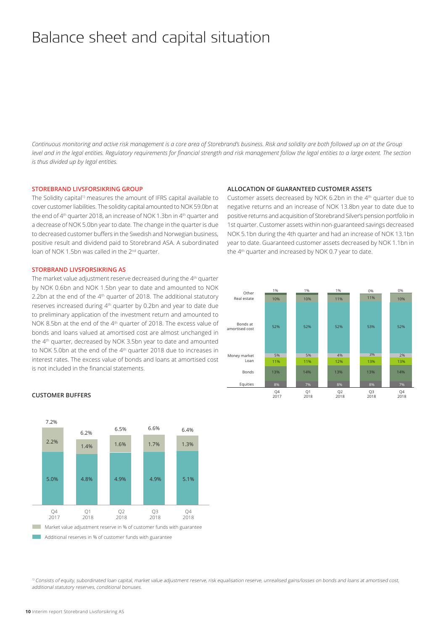## Balance sheet and capital situation

*Continuous monitoring and active risk management is a core area of Storebrand's business. Risk and solidity are both followed up on at the Group level and in the legal entities. Regulatory requirements for financial strength and risk management follow the legal entities to a large extent. The section is thus divided up by legal entities.* 

#### **STOREBRAND LIVSFORSIKRING GROUP**

The Solidity capital<sup>1)</sup> measures the amount of IFRS capital available to cover customer liabilities. The solidity capital amounted to NOK 59.0bn at the end of 4<sup>th</sup> quarter 2018, an increase of NOK 1.3bn in 4<sup>th</sup> quarter and a decrease of NOK 5.0bn year to date. The change in the quarter is due to decreased customer buffers in the Swedish and Norwegian business, positive result and dividend paid to Storebrand ASA. A subordinated loan of NOK 1.5bn was called in the 2<sup>nd</sup> quarter.

#### **STORBRAND LIVSFORSIKRING AS**

The market value adjustment reserve decreased during the 4<sup>th</sup> quarter by NOK 0.6bn and NOK 1.5bn year to date and amounted to NOK 2.2bn at the end of the 4th quarter of 2018. The additional statutory reserves increased during 4<sup>th</sup> quarter by 0.2bn and year to date due to preliminary application of the investment return and amounted to NOK 8.5bn at the end of the 4<sup>th</sup> quarter of 2018. The excess value of bonds and loans valued at amortised cost are almost unchanged in the 4th quarter, decreased by NOK 3.5bn year to date and amounted to NOK 5.0bn at the end of the 4th quarter 2018 due to increases in interest rates. The excess value of bonds and loans at amortised cost is not included in the financial statements.

#### **ALLOCATION OF GUARANTEED CUSTOMER ASSETS**

Customer assets decreased by NOK 6.2bn in the 4<sup>th</sup> quarter due to negative returns and an increase of NOK 13.8bn year to date due to positive returns and acquisition of Storebrand Silver's pension portfolio in 1st quarter. Customer assets within non-guaranteed savings decreased NOK 5.1bn during the 4th quarter and had an increase of NOK 13.1bn year to date. Guaranteed customer assets decreased by NOK 1.1bn in the 4<sup>th</sup> quarter and increased by NOK 0.7 year to date.



#### **CUSTOMER BUFFERS**



<sup>1)</sup> Consists of equity, subordinated loan capital, market value adjustment reserve, risk equalisation reserve, unrealised gains/losses on bonds and loans at amortised cost, additional statutory reserves, conditional bonuses.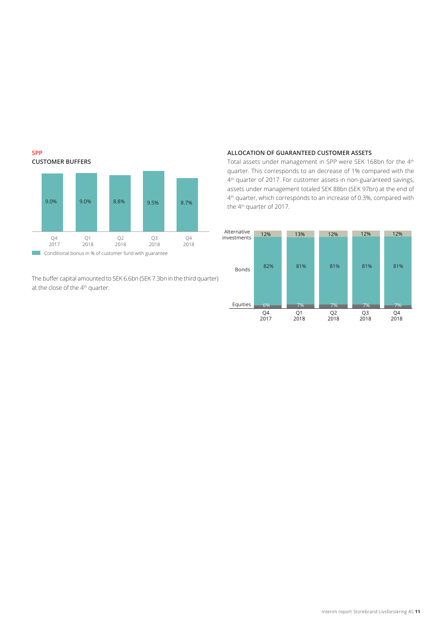

The buffer capital amounted to SEK 6.6bn (SEK 7.3bn in the third quarter) at the close of the 4<sup>th</sup> quarter.

#### **ALLOCATION OF GUARANTEED CUSTOMER ASSETS**

Total assets under management in SPP were SEK 168bn for the 4th quarter. This corresponds to an decrease of 1% compared with the 4<sup>th</sup> quarter of 2017. For customer assets in non-guaranteed savings, assets under management totaled SEK 88bn (SEK 97bn) at the end of 4<sup>th</sup> quarter, which corresponds to an increase of 0.3%, compared with the 4<sup>th</sup> quarter of 2017.

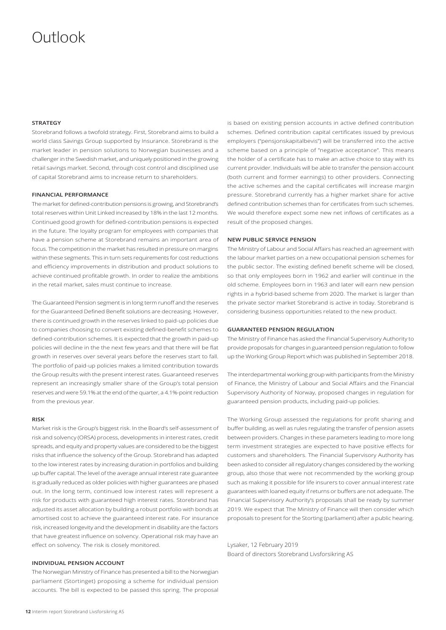## Outlook

#### **STRATEGY**

Storebrand follows a twofold strategy. First, Storebrand aims to build a world class Savings Group supported by Insurance. Storebrand is the market leader in pension solutions to Norwegian businesses and a challenger in the Swedish market, and uniquely positioned in the growing retail savings market. Second, through cost control and disciplined use of capital Storebrand aims to increase return to shareholders.

#### **FINANCIAL PERFORMANCE**

The market for defined-contribution pensions is growing, and Storebrand's total reserves within Unit Linked increased by 18% in the last 12 months. Continued good growth for defined-contribution pensions is expected in the future. The loyalty program for employees with companies that have a pension scheme at Storebrand remains an important area of focus. The competition in the market has resulted in pressure on margins within these segments. This in turn sets requirements for cost reductions and efficiency improvements in distribution and product solutions to achieve continued profitable growth. In order to realize the ambitions in the retail market, sales must continue to increase.

The Guaranteed Pension segment is in long term runoff and the reserves for the Guaranteed Defined Benefit solutions are decreasing. However, there is continued growth in the reserves linked to paid-up policies due to companies choosing to convert existing defined-benefit schemes to defined-contribution schemes. It is expected that the growth in paid-up policies will decline in the the next few years and that there will be flat growth in reserves over several years before the reserves start to fall. The portfolio of paid-up policies makes a limited contribution towards the Group results with the present interest rates. Guaranteed reserves represent an increasingly smaller share of the Group's total pension reserves and were 59.1% at the end of the quarter, a 4.1%-point reduction from the previous year.

#### **RISK**

Market risk is the Group's biggest risk. In the Board's self-assessment of risk and solvency (ORSA) process, developments in interest rates, credit spreads, and equity and property values are considered to be the biggest risks that influence the solvency of the Group. Storebrand has adapted to the low interest rates by increasing duration in portfolios and building up buffer capital. The level of the average annual interest rate guarantee is gradually reduced as older policies with higher guarantees are phased out. In the long term, continued low interest rates will represent a risk for products with guaranteed high interest rates. Storebrand has adjusted its asset allocation by building a robust portfolio with bonds at amortised cost to achieve the guaranteed interest rate. For insurance risk, increased longevity and the development in disability are the factors that have greatest influence on solvency. Operational risk may have an effect on solvency. The risk is closely monitored.

#### **INDIVIDUAL PENSION ACCOUNT**

The Norwegian Ministry of Finance has presented a bill to the Norwegian parliament (Stortinget) proposing a scheme for individual pension accounts. The bill is expected to be passed this spring. The proposal

is based on existing pension accounts in active defined contribution schemes. Defined contribution capital certificates issued by previous employers ("pensjonskapitalbevis") will be transferred into the active scheme based on a principle of "negative acceptance". This means the holder of a certificate has to make an active choice to stay with its current provider. Individuals will be able to transfer the pension account (both current and former earnings) to other providers. Connecting the active schemes and the capital certificates will increase margin pressure. Storebrand currently has a higher market share for active defined contribution schemes than for certificates from such schemes. We would therefore expect some new net inflows of certificates as a result of the proposed changes.

#### **NEW PUBLIC SERVICE PENSION**

The Ministry of Labour and Social Affairs has reached an agreement with the labour market parties on a new occupational pension schemes for the public sector. The existing defined benefit scheme will be closed, so that only employees born in 1962 and earlier will continue in the old scheme. Employees born in 1963 and later will earn new pension rights in a hybrid-based scheme from 2020. The market is larger than the private sector market Storebrand is active in today. Storebrand is considering business opportunities related to the new product.

#### **GUARANTEED PENSION REGULATION**

The Ministry of Finance has asked the Financial Supervisory Authority to provide proposals for changes in guaranteed pension regulation to follow up the Working Group Report which was published in September 2018.

The interdepartmental working group with participants from the Ministry of Finance, the Ministry of Labour and Social Affairs and the Financial Supervisory Authority of Norway, proposed changes in regulation for guaranteed pension products, including paid-up policies.

The Working Group assessed the regulations for profit sharing and buffer building, as well as rules regulating the transfer of pension assets between providers. Changes in these parameters leading to more long term investment strategies are expected to have positive effects for customers and shareholders. The Financial Supervisory Authority has been asked to consider all regulatory changes considered by the working group, also those that were not recommended by the working group such as making it possible for life insurers to cover annual interest rate guarantees with loaned equity if returns or buffers are not adequate. The Financial Supervisory Authority's proposals shall be ready by summer 2019. We expect that The Ministry of Finance will then consider which proposals to present for the Storting (parliament) after a public hearing.

Lysaker, 12 February 2019 Board of directors Storebrand Livsforsikring AS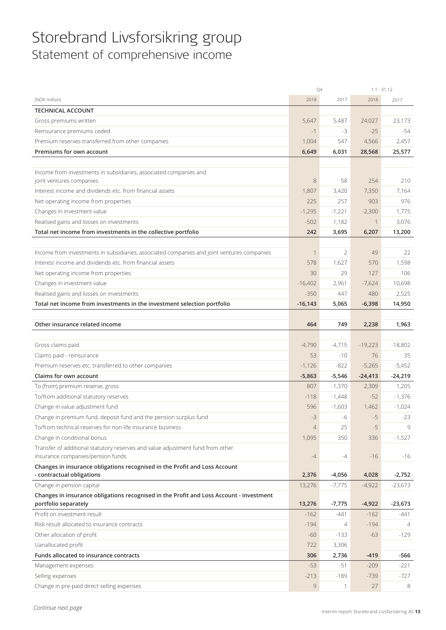## Storebrand Livsforsikring group Statement of comprehensive income

|                                                                                            | Q4             |                | $1.1 - 31.12$ |                |
|--------------------------------------------------------------------------------------------|----------------|----------------|---------------|----------------|
| (NOK million)                                                                              | 2018           | 2017           | 2018          | 2017           |
| <b>TECHNICAL ACCOUNT</b>                                                                   |                |                |               |                |
| Gross premiums written                                                                     | 5,647          | 5,487          | 24,027        | 23,173         |
| Reinsurance premiums ceded                                                                 | $-1$           | -3             | $-25$         | $-54$          |
| Premium reserves transferred from other companies                                          | 1,004          | 547            | 4,566         | 2,457          |
| Premiums for own account                                                                   | 6,649          | 6,031          | 28,568        | 25,577         |
|                                                                                            |                |                |               |                |
| Income from investments in subsidiaries, associated companies and                          |                |                |               |                |
| joint ventures companies                                                                   | 8              | 58             | 254           | 210            |
| Interest income and dividends etc. from financial assets                                   | 1,807          | 3,420          | 7,350         | 7,164          |
| Net operating income from properties                                                       | 225            | 257            | 903           | 976            |
| Changes in investment value                                                                | $-1,295$       | $-1,221$       | $-2,300$      | 1,775          |
| Realised gains and losses on investments                                                   | $-502$         | 1,182          | $\mathbf 1$   | 3,076          |
| Total net income from investments in the collective portfolio                              | 242            | 3,695          | 6,207         | 13,200         |
|                                                                                            |                |                |               |                |
| Income from investments in subsidiaries, associated companies and joint ventures companies | $\mathbf{1}$   | 2              | 49            | 22             |
| Interest income and dividends etc. from financial assets                                   | 578            | 1,627          | 570           | 1,598          |
| Net operating income from properties                                                       | 30             | 29             | 127           | 106            |
| Changes in investment value                                                                | $-16,402$      | 2,961          | $-7,624$      | 10,698         |
|                                                                                            | $-350$         | 447            | 480           | 2,525          |
| Realised gains and losses on investments                                                   |                |                |               |                |
| Total net income from investments in the investment selection portfolio                    | $-16, 143$     | 5,065          | $-6,398$      | 14,950         |
|                                                                                            |                |                |               |                |
| Other insurance related income                                                             | 464            | 749            | 2,238         | 1,963          |
|                                                                                            |                |                |               |                |
| Gross claims paid                                                                          | $-4,790$       | $-4,715$       | $-19,223$     | $-18,802$      |
| Claims paid - reinsurance                                                                  | 53             | $-10$          | 76            | 35             |
| Premium reserves etc. transferred to other companies                                       | $-1,126$       | $-822$         | $-5,265$      | $-5,452$       |
| Claims for own account                                                                     | $-5,863$       | $-5,546$       | $-24,413$     | $-24,219$      |
| To (from) premium reserve, gross                                                           | 807            | $-1,370$       | 2,309         | 1,205          |
| To/from additional statutory reserves                                                      | $-118$         | $-1,448$       | $-52$         | $-1,376$       |
| Change in value adjustment fund                                                            | 596            | $-1,603$       | 1,462         | $-1,024$       |
| Change in premium fund, deposit fund and the pension surplus fund                          | $-3$           | -6             | $-5$          | $-23$          |
| To/from technical reserves for non-life insurance business                                 | $\overline{4}$ | 25             | $-5$          | 9              |
| Change in conditional bonus                                                                | 1,095          | 350            | 336           | $-1,527$       |
| Transfer of additional statutory reserves and value adjustment fund from other             |                |                |               |                |
| insurance companies/pension funds                                                          | -4             | -4             | $-16$         | -16            |
| Changes in insurance obligations recognised in the Profit and Loss Account                 |                |                |               |                |
| - contractual obligations                                                                  | 2,376          | $-4,056$       | 4,028         | $-2,752$       |
| Change in pension capital                                                                  | 13,276         | $-7,775$       | $-4,922$      | $-23,673$      |
| Changes in insurance obligations recognised in the Profit and Loss Account - investment    |                |                |               |                |
| portfolio separately                                                                       | 13,276         | $-7,775$       | $-4,922$      | $-23,673$      |
| Profit on investment result                                                                | $-162$         | $-441$         | $-162$        | -441           |
| Risk result allocated to insurance contracts                                               | $-194$         | $\overline{4}$ | $-194$        | $\overline{4}$ |
| Other allocation of profit                                                                 | $-60$          | $-133$         | $-63$         | $-129$         |
| Uanallocated profit                                                                        | 722            | 3,306          |               |                |
| Funds allocated to insurance contracts                                                     | 306            | 2,736          | $-419$        | -566           |
| Management expenses                                                                        | $-53$          | $-51$          | $-209$        | $-221$         |
| Selling expenses                                                                           | $-213$         | $-189$         | $-739$        | -727           |
| Change in pre-paid direct selling expenses                                                 | 9              |                | 27            | 8              |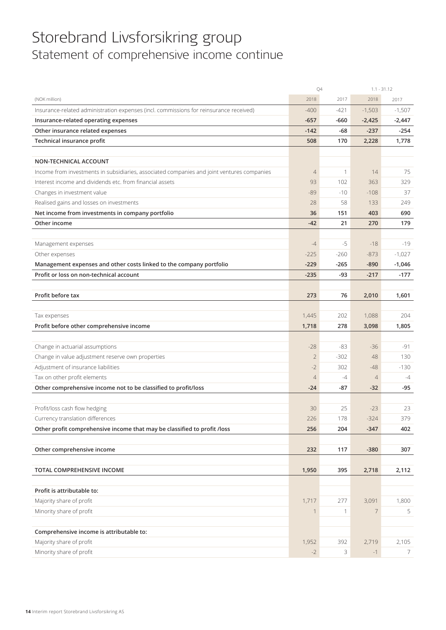## Storebrand Livsforsikring group Statement of comprehensive income continue

|                                                                                            | Q4             |              |                | $1.1 - 31.12$ |
|--------------------------------------------------------------------------------------------|----------------|--------------|----------------|---------------|
| (NOK million)                                                                              | 2018           | 2017         | 2018           | 2017          |
| Insurance-related administration expenses (incl. commissions for reinsurance received)     | $-400$         | $-421$       | $-1,503$       | $-1,507$      |
| Insurance-related operating expenses                                                       | $-657$         | $-660$       | $-2,425$       | $-2,447$      |
| Other insurance related expenses                                                           | $-142$         | -68          | $-237$         | -254          |
| Technical insurance profit                                                                 | 508            | 170          | 2,228          | 1,778         |
|                                                                                            |                |              |                |               |
| NON-TECHNICAL ACCOUNT                                                                      |                |              |                |               |
| Income from investments in subsidiaries, associated companies and joint ventures companies | $\overline{4}$ | $\mathbf{1}$ | 14             | 75            |
| Interest income and dividends etc. from financial assets                                   | 93             | 102          | 363            | 329           |
| Changes in investment value                                                                | $-89$          | $-10$        | $-108$         | 37            |
| Realised gains and losses on investments                                                   | 28             | 58           | 133            | 249           |
| Net income from investments in company portfolio                                           | 36             | 151          | 403            | 690           |
| Other income                                                                               | $-42$          | 21           | 270            | 179           |
|                                                                                            |                |              |                |               |
| Management expenses                                                                        | $-4$           | $-5$         | $-18$          | $-19$         |
| Other expenses                                                                             | $-225$         | $-260$       | $-873$         | $-1,027$      |
| Management expenses and other costs linked to the company portfolio                        | $-229$         | $-265$       | $-890$         | $-1,046$      |
| Profit or loss on non-technical account                                                    | $-235$         | -93          | $-217$         | $-177$        |
|                                                                                            |                |              |                |               |
| Profit before tax                                                                          | 273            | 76           | 2,010          | 1,601         |
|                                                                                            |                |              |                |               |
| Tax expenses                                                                               | 1,445          | 202          | 1,088          | 204           |
| Profit before other comprehensive income                                                   | 1,718          | 278          | 3,098          | 1,805         |
|                                                                                            |                |              |                |               |
| Change in actuarial assumptions                                                            | $-28$          | -83          | $-36$          | -91           |
| Change in value adjustment reserve own properties                                          | $\overline{2}$ | $-302$       | 48             | 130           |
| Adjustment of insurance liabilities                                                        | $-2$           | 302          | $-48$          | $-130$        |
| Tax on other profit elements                                                               | $\overline{4}$ | $-4$         | $\overline{4}$ | $-4$          |
| Other comprehensive income not to be classified to profit/loss                             | -24            | -87          | $-32$          | $-95$         |
|                                                                                            |                |              |                |               |
| Profit/loss cash flow hedging                                                              | 30             | 25           | $-23$          | 23            |
| Currency translation differences                                                           | 226            | 178          | $-324$         | 379           |
| Other profit comprehensive income that may be classified to profit /loss                   | 256            | 204          | $-347$         | 402           |
|                                                                                            |                |              |                |               |
| Other comprehensive income                                                                 | 232            | 117          | $-380$         | 307           |
|                                                                                            |                |              |                |               |
| TOTAL COMPREHENSIVE INCOME                                                                 | 1,950          | 395          | 2,718          | 2,112         |
|                                                                                            |                |              |                |               |
| Profit is attributable to:                                                                 |                |              |                |               |
| Majority share of profit                                                                   | 1,717          | 277          | 3,091          | 1,800         |
| Minority share of profit                                                                   | 1              | 1            | $\overline{7}$ | 5             |
|                                                                                            |                |              |                |               |
| Comprehensive income is attributable to:                                                   |                |              |                |               |
| Majority share of profit                                                                   | 1,952          | 392          | 2,719          | 2,105         |
| Minority share of profit                                                                   | $-2$           | 3            | $-1$           | 7             |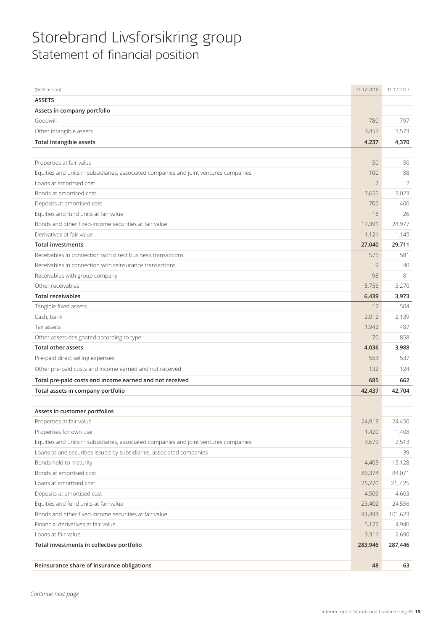## Storebrand Livsforsikring group Statement of financial position

| (NOK million)                                                                         | 31.12.2018     | 31.12.2017 |
|---------------------------------------------------------------------------------------|----------------|------------|
| <b>ASSETS</b>                                                                         |                |            |
| Assets in company portfolio                                                           |                |            |
| Goodwill                                                                              | 780            | 797        |
| Other intangible assets                                                               | 3,457          | 3,573      |
| <b>Total intangible assets</b>                                                        | 4,237          | 4,370      |
|                                                                                       |                |            |
| Properties at fair value                                                              | 50             | 50         |
| Equities and units in subsidiaries, associated companies and joint ventures companies | 100            | 88         |
| Loans at amoritsed cost                                                               | $\overline{2}$ | 2          |
| Bonds at amortised cost                                                               | 7,655          | 3,023      |
| Deposits at amortised cost                                                            | 705            | 400        |
| Equities and fund units at fair value                                                 | 16             | 26         |
| Bonds and other fixed-income securities at fair value                                 | 17,391         | 24,977     |
| Derivatives at fair value                                                             | 1,121          | 1,145      |
| <b>Total investments</b>                                                              | 27,040         | 29,711     |
| Receivables in connection with direct business transactions                           | 575            | 581        |
| Receivables in connection with reinsurance transactions                               | 9              | 40         |
| Receivables with group company                                                        | 98             | 81         |
| Other receivables                                                                     | 5,756          | 3,270      |
| <b>Total receivables</b>                                                              | 6,439          | 3,973      |
| Tangible fixed assets                                                                 | 12             | 504        |
| Cash, bank                                                                            | 2,012          | 2,139      |
| Tax assets                                                                            | 1,942          | 487        |
| Other assets designated according to type                                             | 70             | 858        |
| <b>Total other assets</b>                                                             | 4,036          | 3,988      |
| Pre-paid direct selling expenses                                                      | 553            | 537        |
| Other pre-paid costs and income earned and not received                               | 132            | 124        |
| Total pre-paid costs and income earned and not received                               | 685            | 662        |
| Total assets in company portfolio                                                     | 42,437         | 42,704     |
|                                                                                       |                |            |
| Assets in customer portfolios                                                         |                |            |
| Properties at fair value                                                              | 24,913         | 24,450     |
| Properties for own use                                                                | 1,420          | 1,408      |
| Equities and units in subsidiaries, associated companies and joint ventures companies | 3,679          | 2,513      |
| Loans to and securities issued by subsidiaries, associated companies                  |                | 39         |
| Bonds held to maturity                                                                | 14,403         | 15,128     |
| Bonds at amortised cost                                                               | 86,374         | 84,071     |
| Loans at amortised cost                                                               | 25,270         | 21,,425    |
| Deposits at amortised cost                                                            | 4,509          | 4,603      |
| Equities and fund units at fair value                                                 | 23,402         | 24,556     |
| Bonds and other fixed-income securities at fair value                                 | 91,493         | 101,623    |
| Financial derivatives at fair value                                                   | 5,172          | 4,940      |
| Loans at fair value                                                                   | 3,311          | 2,690      |
| Total investments in collective portfolio                                             | 283,946        | 287,446    |
|                                                                                       |                |            |
| Reinsurance share of insurance obligations                                            | 48             | 63         |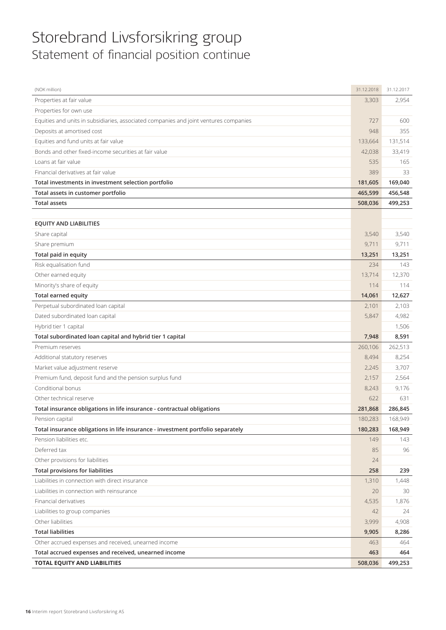## Storebrand Livsforsikring group Statement of financial position continue

| (NOK million)                                                                         | 31.12.2018 | 31.12.2017 |
|---------------------------------------------------------------------------------------|------------|------------|
| Properties at fair value                                                              | 3,303      | 2,954      |
| Properties for own use                                                                |            |            |
| Equities and units in subsidiaries, associated companies and joint ventures companies | 727        | 600        |
| Deposits at amortised cost                                                            | 948        | 355        |
| Equities and fund units at fair value                                                 | 133,664    | 131,514    |
| Bonds and other fixed-income securities at fair value                                 | 42,038     | 33,419     |
| Loans at fair value                                                                   | 535        | 165        |
| Financial derivatives at fair value                                                   | 389        | 33         |
| Total investments in investment selection portfolio                                   | 181,605    | 169,040    |
| Total assets in customer portfolio                                                    | 465,599    | 456,548    |
| <b>Total assets</b>                                                                   | 508,036    | 499,253    |
|                                                                                       |            |            |
| <b>EQUITY AND LIABILITIES</b>                                                         |            |            |
| Share capital                                                                         | 3,540      | 3,540      |
| Share premium                                                                         | 9,711      | 9,711      |
| Total paid in equity                                                                  | 13,251     | 13,251     |
| Risk equalisation fund                                                                | 234        | 143        |
| Other earned equity                                                                   | 13,714     | 12,370     |
| Minority's share of equity                                                            | 114        | 114        |
| Total earned equity                                                                   | 14,061     | 12,627     |
| Perpetual subordinated loan capital                                                   | 2,101      | 2,103      |
| Dated subordinated loan capital                                                       | 5,847      | 4,982      |
| Hybrid tier 1 capital                                                                 |            | 1,506      |
| Total subordinated loan capital and hybrid tier 1 capital                             | 7,948      | 8,591      |
| Premium reserves                                                                      | 260,106    | 262,513    |
| Additional statutory reserves                                                         | 8,494      | 8,254      |
| Market value adjustment reserve                                                       | 2,245      | 3,707      |
| Premium fund, deposit fund and the pension surplus fund                               | 2,157      | 2,564      |
| Conditional bonus                                                                     | 8,243      | 9,176      |
| Other technical reserve                                                               | 622        | 631        |
| Total insurance obligations in life insurance - contractual obligations               | 281,868    | 286,845    |
| Pension capital                                                                       | 180,283    | 168,949    |
| Total insurance obligations in life insurance - investment portfolio separately       | 180,283    | 168,949    |
| Pension liabilities etc.                                                              | 149        | 143        |
| Deferred tax                                                                          | 85         | 96         |
| Other provisions for liabilities                                                      | 24         |            |
| <b>Total provisions for liabilities</b>                                               | 258        | 239        |
| Liabilities in connection with direct insurance                                       | 1,310      | 1,448      |
| Liabilities in connection with reinsurance                                            | 20         | 30         |
| Financial derivatives                                                                 | 4,535      | 1,876      |
| Liabilities to group companies                                                        | 42         | 24         |
| Other liabilities                                                                     | 3,999      | 4,908      |
| <b>Total liabilities</b>                                                              | 9,905      | 8,286      |
| Other accrued expenses and received, unearned income                                  | 463        | 464        |
| Total accrued expenses and received, unearned income                                  | 463        | 464        |
| TOTAL EQUITY AND LIABILITIES                                                          | 508,036    | 499,253    |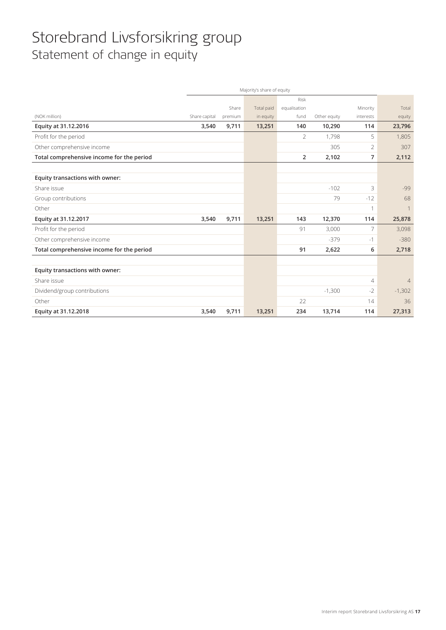## Storebrand Livsforsikring group Statement of change in equity

|                                           | Majority's share of equity |         |            |                |              |                |                |
|-------------------------------------------|----------------------------|---------|------------|----------------|--------------|----------------|----------------|
|                                           |                            |         |            | <b>Risk</b>    |              |                |                |
|                                           |                            | Share   | Total paid | equalisation   |              | Minority       | Total          |
| (NOK million)                             | Share capital              | premium | in equity  | fund           | Other equity | interests      | equity         |
| Equity at 31.12.2016                      | 3,540                      | 9,711   | 13,251     | 140            | 10,290       | 114            | 23,796         |
| Profit for the period                     |                            |         |            | $\overline{2}$ | 1,798        | 5              | 1,805          |
| Other comprehensive income                |                            |         |            |                | 305          | $\overline{2}$ | 307            |
| Total comprehensive income for the period |                            |         |            | $\overline{2}$ | 2,102        | $\overline{7}$ | 2,112          |
|                                           |                            |         |            |                |              |                |                |
| Equity transactions with owner:           |                            |         |            |                |              |                |                |
| Share issue                               |                            |         |            |                | $-102$       | 3              | $-99$          |
| Group contributions                       |                            |         |            |                | 79           | $-12$          | 68             |
| Other                                     |                            |         |            |                |              | 1              |                |
| Equity at 31.12.2017                      | 3,540                      | 9,711   | 13,251     | 143            | 12,370       | 114            | 25,878         |
| Profit for the period                     |                            |         |            | 91             | 3,000        | 7              | 3,098          |
| Other comprehensive income                |                            |         |            |                | $-379$       | $-1$           | $-380$         |
| Total comprehensive income for the period |                            |         |            | 91             | 2,622        | 6              | 2,718          |
|                                           |                            |         |            |                |              |                |                |
| Equity transactions with owner:           |                            |         |            |                |              |                |                |
| Share issue                               |                            |         |            |                |              | $\overline{4}$ | $\overline{4}$ |
| Dividend/group contributions              |                            |         |            |                | $-1,300$     | $-2$           | $-1,302$       |
| Other                                     |                            |         |            | 22             |              | 14             | 36             |
| Equity at 31.12.2018                      | 3,540                      | 9,711   | 13,251     | 234            | 13,714       | 114            | 27,313         |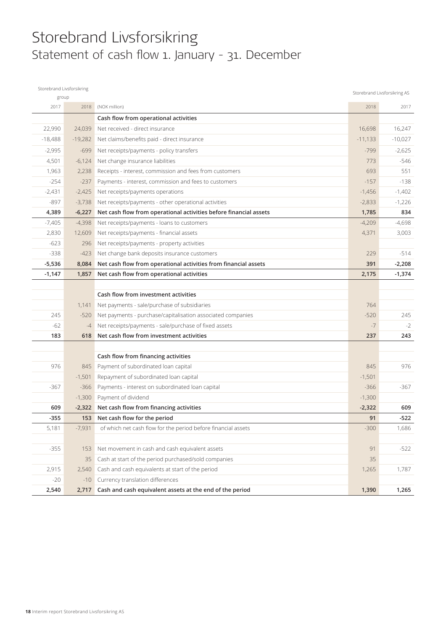## Storebrand Livsforsikring Statement of cash flow 1. January - 31. December

| Storebrand Livsforsikring |           |                                                                   |           | Storebrand Livsforsikring AS |
|---------------------------|-----------|-------------------------------------------------------------------|-----------|------------------------------|
| group                     |           |                                                                   |           |                              |
| 2017                      | 2018      | (NOK million)                                                     | 2018      | 2017                         |
|                           |           | Cash flow from operational activities                             |           |                              |
| 22,990                    | 24,039    | Net received - direct insurance                                   | 16,698    | 16,247                       |
| $-18,488$                 | $-19,282$ | Net claims/benefits paid - direct insurance                       | $-11,133$ | $-10,027$                    |
| $-2,995$                  | $-699$    | Net receipts/payments - policy transfers                          | $-799$    | $-2,625$                     |
| 4,501                     | $-6,124$  | Net change insurance liabilities                                  | 773       | $-546$                       |
| 1,963                     | 2,238     | Receipts - interest, commission and fees from customers           | 693       | 551                          |
| $-254$                    | $-237$    | Payments - interest, commission and fees to customers             | $-157$    | $-138$                       |
| $-2,431$                  | $-2,425$  | Net receipts/payments operations                                  | $-1,456$  | $-1,402$                     |
| $-897$                    | $-3,738$  | Net receipts/payments - other operational activities              | $-2,833$  | $-1,226$                     |
| 4,389                     | $-6,227$  | Net cash flow from operational activities before financial assets | 1,785     | 834                          |
| $-7,405$                  | $-4,398$  | Net receipts/payments - loans to customers                        | $-4,209$  | $-4,698$                     |
| 2,830                     | 12,609    | Net receipts/payments - financial assets                          | 4,371     | 3,003                        |
| $-623$                    | 296       | Net receipts/payments - property activities                       |           |                              |
| $-338$                    | $-423$    | Net change bank deposits insurance customers                      | 229       | $-514$                       |
| $-5,536$                  | 8,084     | Net cash flow from operational activities from financial assets   | 391       | $-2,208$                     |
| $-1,147$                  | 1,857     | Net cash flow from operational activities                         | 2,175     | $-1,374$                     |
|                           |           |                                                                   |           |                              |
|                           |           | Cash flow from investment activities                              |           |                              |
|                           | 1,141     | Net payments - sale/purchase of subsidiaries                      | 764       |                              |
| 245                       | $-520$    | Net payments - purchase/capitalisation associated companies       | $-520$    | 245                          |
| $-62$                     | $-4$      | Net receipts/payments - sale/purchase of fixed assets             | $-7$      | $-2$                         |
| 183                       | 618       | Net cash flow from investment activities                          | 237       | 243                          |
|                           |           |                                                                   |           |                              |
|                           |           | Cash flow from financing activities                               |           |                              |
| 976                       | 845       | Payment of subordinated loan capital                              | 845       | 976                          |
|                           | $-1,501$  | Repayment of subordinated loan capital                            | $-1,501$  |                              |
| $-367$                    | $-366$    | Payments - interest on subordinated loan capital                  | $-366$    | $-367$                       |
|                           | $-1,300$  | Payment of dividend                                               | $-1,300$  |                              |
| 609                       | $-2,322$  | Net cash flow from financing activities                           | $-2,322$  | 609                          |
| $-355$                    | 153       | Net cash flow for the period                                      | 91        | $-522$                       |
| 5,181                     | $-7,931$  | of which net cash flow for the period before financial assets     | $-300$    | 1,686                        |
|                           |           |                                                                   |           |                              |
| $-355$                    | 153       | Net movement in cash and cash equivalent assets                   | 91        | $-522$                       |
|                           | 35        | Cash at start of the period purchased/sold companies              | 35        |                              |
| 2,915                     | 2,540     | Cash and cash equivalents at start of the period                  | 1,265     | 1,787                        |
| $-20$                     | $-10$     | Currency translation differences                                  |           |                              |
| 2,540                     | 2,717     | Cash and cash equivalent assets at the end of the period          | 1,390     | 1,265                        |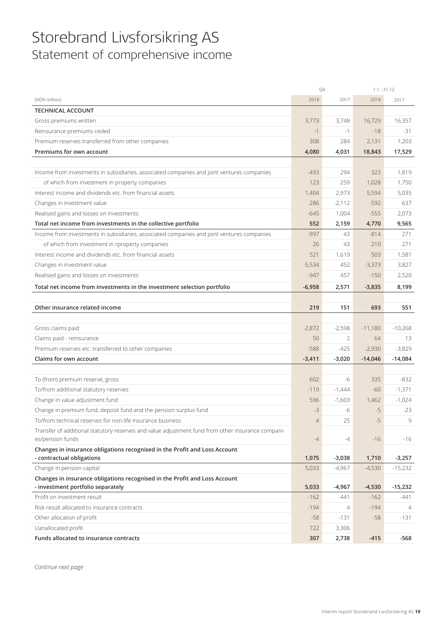## Storebrand Livsforsikring AS Statement of comprehensive income

|                                                                                                         | Q4             |                | $1.1 - 31.12$ |           |
|---------------------------------------------------------------------------------------------------------|----------------|----------------|---------------|-----------|
| (NOK million)                                                                                           | 2018           | 2017           | 2018          | 2017      |
| <b>TECHNICAL ACCOUNT</b>                                                                                |                |                |               |           |
| Gross premiums written                                                                                  | 3,773          | 3,748          | 16,729        | 16,357    |
| Reinsurance premiums ceded                                                                              | $-1$           | $-1$           | $-18$         | -31       |
| Premium reserves transferred from other companies                                                       | 308            | 284            | 2,131         | 1,203     |
| Premiums for own account                                                                                | 4,080          | 4,031          | 18,843        | 17,529    |
|                                                                                                         |                |                |               |           |
| Income from investments in subsidiaries, associated companies and joint ventures companies              | $-493$         | 294            | 323           | 1,819     |
| of which from investment in property companies                                                          | 123            | 259            | 1,028         | 1,750     |
| Interest income and dividends etc. from financial assets                                                | 1,404          | 2,973          | 5,594         | 5,035     |
| Changes in investment value                                                                             | 286            | $-2,112$       | $-592$        | 637       |
| Realised gains and losses on investments                                                                | $-645$         | 1,004          | $-555$        | 2,073     |
| Total net income from investments in the collective portfolio                                           | 552            | 2,159          | 4,770         | 9,565     |
| Income from investments in subsidiaries, associated companies and joint ventures companies              | $-997$         | 43             | $-814$        | 271       |
| of which from investment in rproperty companies                                                         | 26             | 43             | 210           | 271       |
| Interest income and dividends etc. from financial assets                                                | 521            | 1,619          | 503           | 1,581     |
| Changes in investment value                                                                             | $-5,534$       | 452            | $-3,373$      | 3,827     |
| Realised gains and losses on investments                                                                | $-947$         | 457            | $-150$        | 2,520     |
| Total net income from investments in the investment selection portfolio                                 | $-6,958$       | 2,571          | $-3,835$      | 8,199     |
|                                                                                                         |                |                |               |           |
| Other insurance related income                                                                          | 219            | 151            | 693           | 551       |
|                                                                                                         |                |                |               |           |
| Gross claims paid                                                                                       | $-2,872$       | $-2,598$       | $-11,180$     | $-10,268$ |
| Claims paid - reinsurance                                                                               | 50             | 2              | 64            | 13        |
| Premium reserves etc. transferred to other companies                                                    | $-588$         | $-425$         | $-2,930$      | $-3,829$  |
| Claims for own account                                                                                  | $-3,411$       | $-3,020$       | $-14,046$     | $-14,084$ |
|                                                                                                         |                |                |               |           |
| To (from) premium reserve, gross                                                                        | 602            | -6             | 335           | $-832$    |
| To/from additional statutory reserves                                                                   | $-119$         | $-1,444$       | $-60$         | $-1,371$  |
| Change in value adjustment fund                                                                         | 596            | $-1,603$       | 1,462         | $-1,024$  |
| Change in premium fund, deposit fund and the pension surplus fund                                       | $-3$           | -6             | $-5$          | $-23$     |
| To/from technical reserves for non-life insurance business                                              | $\overline{4}$ | 25             | $-5$          | Q         |
| Transfer of additional statutory reserves and value adjustment fund from other insurance compani-       |                |                |               |           |
| es/pension funds                                                                                        | $-4$           | -4             | $-16$         | $-16$     |
| Changes in insurance obligations recognised in the Profit and Loss Account                              |                |                |               |           |
| - contractual obligations                                                                               | 1,075          | $-3,038$       | 1,710         | $-3,257$  |
| Change in pension capital<br>Changes in insurance obligations recognised in the Profit and Loss Account | 5,033          | $-4,967$       | $-4,530$      | $-15,232$ |
| - investment portfolio separately                                                                       | 5,033          | $-4,967$       | $-4,530$      | $-15,232$ |
| Profit on investment result                                                                             | $-162$         | $-441$         | $-162$        | -441      |
| Risk result allocated to insurance contracts                                                            | $-194$         | $\overline{4}$ | $-194$        | 4         |
| Other allocation of profit                                                                              | $-58$          | $-131$         | $-58$         | $-131$    |
| Uanallocated profit                                                                                     | 722            | 3,306          |               |           |
| Funds allocated to insurance contracts                                                                  | 307            | 2,738          | $-415$        | -568      |

*Continue next page*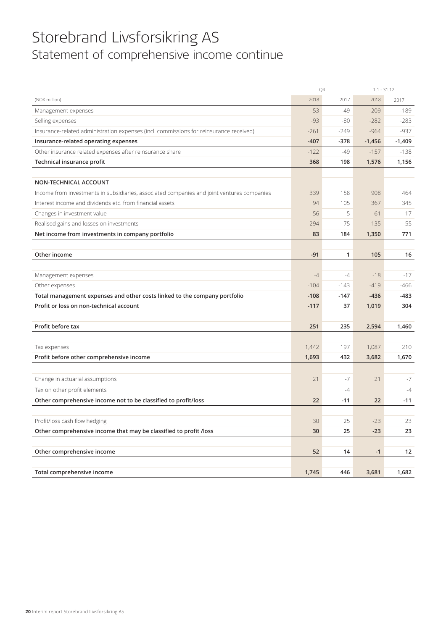## Storebrand Livsforsikring AS Statement of comprehensive income continue

|                                                                                            | Q4     |        | $1.1 - 31.12$ |          |
|--------------------------------------------------------------------------------------------|--------|--------|---------------|----------|
| (NOK million)                                                                              | 2018   | 2017   | 2018          | 2017     |
| Management expenses                                                                        | $-53$  | -49    | $-209$        | $-189$   |
| Selling expenses                                                                           | $-93$  | $-80$  | $-282$        | $-283$   |
| Insurance-related administration expenses (incl. commissions for reinsurance received)     | $-261$ | $-249$ | $-964$        | $-937$   |
| Insurance-related operating expenses                                                       | $-407$ | $-378$ | $-1,456$      | $-1,409$ |
| Other insurance related expenses after reinsurance share                                   | $-122$ | $-49$  | $-157$        | $-138$   |
| Technical insurance profit                                                                 | 368    | 198    | 1,576         | 1,156    |
|                                                                                            |        |        |               |          |
| NON-TECHNICAL ACCOUNT                                                                      |        |        |               |          |
| Income from investments in subsidiaries, associated companies and joint ventures companies | 339    | 158    | 908           | 464      |
| Interest income and dividends etc. from financial assets                                   | 94     | 105    | 367           | 345      |
| Changes in investment value                                                                | $-56$  | $-5$   | $-61$         | 17       |
| Realised gains and losses on investments                                                   | $-294$ | $-75$  | 135           | $-55$    |
| Net income from investments in company portfolio                                           | 83     | 184    | 1,350         | 771      |
|                                                                                            |        |        |               |          |
| Other income                                                                               | $-91$  | 1      | 105           | 16       |
|                                                                                            |        |        |               |          |
| Management expenses                                                                        | $-4$   | $-4$   | $-18$         | $-17$    |
| Other expenses                                                                             | $-104$ | $-143$ | $-419$        | -466     |
| Total management expenses and other costs linked to the company portfolio                  | $-108$ | $-147$ | $-436$        | -483     |
| Profit or loss on non-technical account                                                    | $-117$ | 37     | 1,019         | 304      |
|                                                                                            |        |        |               |          |
| Profit before tax                                                                          | 251    | 235    | 2,594         | 1,460    |
|                                                                                            |        |        |               |          |
| Tax expenses                                                                               | 1,442  | 197    | 1,087         | 210      |
| Profit before other comprehensive income                                                   | 1,693  | 432    | 3,682         | 1,670    |
|                                                                                            |        |        |               |          |
| Change in actuarial assumptions                                                            | 21     | $-7$   | 21            | $-7$     |
| Tax on other profit elements                                                               |        | $-4$   |               | $-4$     |
| Other comprehensive income not to be classified to profit/loss                             | 22     | -11    | 22            | $-11$    |
|                                                                                            |        |        |               |          |
| Profit/loss cash flow hedging                                                              | 30     | 25     | $-23$         | 23       |
| Other comprehensive income that may be classified to profit /loss                          | 30     | 25     | $-23$         | 23       |
|                                                                                            |        |        |               |          |
| Other comprehensive income                                                                 | 52     | 14     | $-1$          | 12       |
|                                                                                            |        |        |               |          |
| Total comprehensive income                                                                 | 1,745  | 446    | 3,681         | 1,682    |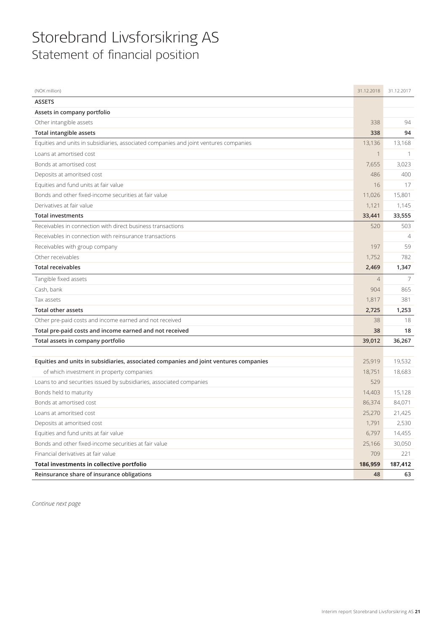## Storebrand Livsforsikring AS Statement of financial position

| (NOK million)                                                                         | 31.12.2018     | 31.12.2017     |
|---------------------------------------------------------------------------------------|----------------|----------------|
| <b>ASSETS</b>                                                                         |                |                |
| Assets in company portfolio                                                           |                |                |
| Other intangible assets                                                               | 338            | 94             |
| <b>Total intangible assets</b>                                                        | 338            | 94             |
| Equities and units in subsidiaries, associated companies and joint ventures companies | 13,136         | 13,168         |
| Loans at amortised cost                                                               |                |                |
| Bonds at amortised cost                                                               | 7,655          | 3,023          |
| Deposits at amoritsed cost                                                            | 486            | 400            |
| Equities and fund units at fair value                                                 | 16             | 17             |
| Bonds and other fixed-income securities at fair value                                 | 11,026         | 15,801         |
| Derivatives at fair value                                                             | 1,121          | 1,145          |
| <b>Total investments</b>                                                              | 33,441         | 33,555         |
| Receivables in connection with direct business transactions                           | 520            | 503            |
| Receivables in connection with reinsurance transactions                               |                | $\overline{4}$ |
| Receivables with group company                                                        | 197            | 59             |
| Other receivables                                                                     | 1,752          | 782            |
| <b>Total receivables</b>                                                              | 2,469          | 1,347          |
| Tangible fixed assets                                                                 | $\overline{4}$ | 7              |
| Cash, bank                                                                            | 904            | 865            |
| Tax assets                                                                            | 1,817          | 381            |
| <b>Total other assets</b>                                                             | 2,725          | 1,253          |
| Other pre-paid costs and income earned and not received                               | 38             | 18             |
| Total pre-paid costs and income earned and not received                               | 38             | 18             |
| Total assets in company portfolio                                                     | 39,012         | 36,267         |
|                                                                                       |                |                |
| Equities and units in subsidiaries, associated companies and joint ventures companies | 25,919         | 19,532         |
| of which investment in property companies                                             | 18,751         | 18,683         |
| Loans to and securities issued by subsidiaries, associated companies                  | 529            |                |
| Bonds held to maturity                                                                | 14,403         | 15,128         |
| Bonds at amortised cost                                                               | 86,374         | 84,071         |
| Loans at amoritsed cost                                                               | 25,270         | 21,425         |
| Deposits at amoritsed cost                                                            | 1,791          | 2,530          |
| Equities and fund units at fair value                                                 | 6,797          | 14,455         |
| Bonds and other fixed-income securities at fair value                                 | 25,166         | 30,050         |
| Financial derivatives at fair value                                                   | 709            | 221            |
| Total investments in collective portfolio                                             | 186,959        | 187,412        |
| Reinsurance share of insurance obligations                                            | 48             | 63             |

*Continue next page*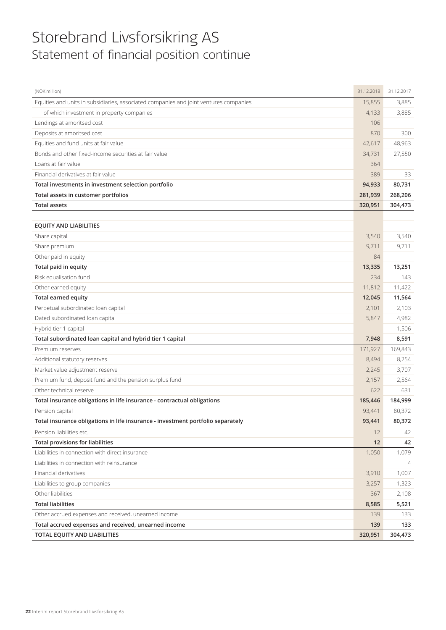## Storebrand Livsforsikring AS Statement of financial position continue

| (NOK million)                                                                         | 31.12.2018 | 31.12.2017     |
|---------------------------------------------------------------------------------------|------------|----------------|
| Equities and units in subsidiaries, associated companies and joint ventures companies | 15,855     | 3,885          |
| of which investment in property companies                                             | 4,133      | 3,885          |
| Lendings at amoritsed cost                                                            | 106        |                |
| Deposits at amoritsed cost                                                            | 870        | 300            |
| Equities and fund units at fair value                                                 | 42,617     | 48,963         |
| Bonds and other fixed-income securities at fair value                                 | 34,731     | 27,550         |
| Loans at fair value                                                                   | 364        |                |
| Financial derivatives at fair value                                                   | 389        | 33             |
| Total investments in investment selection portfolio                                   | 94,933     | 80,731         |
| Total assets in customer portfolios                                                   | 281,939    | 268,206        |
| <b>Total assets</b>                                                                   | 320,951    | 304,473        |
|                                                                                       |            |                |
| <b>EQUITY AND LIABILITIES</b>                                                         |            |                |
| Share capital                                                                         | 3.540      | 3,540          |
| Share premium                                                                         | 9,711      | 9,711          |
| Other paid in equity                                                                  | 84         |                |
| Total paid in equity                                                                  | 13,335     | 13,251         |
| Risk equalisation fund                                                                | 234        | 143            |
| Other earned equity                                                                   | 11,812     | 11,422         |
| <b>Total earned equity</b>                                                            | 12,045     | 11,564         |
| Perpetual subordinated loan capital                                                   | 2,101      | 2,103          |
| Dated subordinated loan capital                                                       | 5,847      | 4,982          |
| Hybrid tier 1 capital                                                                 |            | 1,506          |
| Total subordinated loan capital and hybrid tier 1 capital                             | 7,948      | 8,591          |
| Premium reserves                                                                      | 171,927    | 169,843        |
| Additional statutory reserves                                                         | 8,494      | 8,254          |
| Market value adjustment reserve                                                       | 2,245      | 3,707          |
| Premium fund, deposit fund and the pension surplus fund                               | 2,157      | 2,564          |
| Other technical reserve                                                               | 622        | 631            |
| Total insurance obligations in life insurance - contractual obligations               | 185,446    | 184,999        |
| Pension capital                                                                       | 93,441     | 80,372         |
| Total insurance obligations in life insurance - investment portfolio separately       | 93,441     | 80,372         |
| Pension liabilities etc.                                                              | 12         | 42             |
| <b>Total provisions for liabilities</b>                                               | 12         | 42             |
| Liabilities in connection with direct insurance                                       | 1,050      | 1,079          |
| Liabilities in connection with reinsurance                                            |            | $\overline{4}$ |
| Financial derivatives                                                                 | 3,910      | 1,007          |
| Liabilities to group companies                                                        | 3,257      | 1,323          |
| Other liabilities                                                                     | 367        | 2,108          |
| <b>Total liabilities</b>                                                              | 8,585      | 5,521          |
| Other accrued expenses and received, unearned income                                  | 139        | 133            |
| Total accrued expenses and received, unearned income                                  | 139        | 133            |
| TOTAL EQUITY AND LIABILITIES                                                          | 320,951    | 304,473        |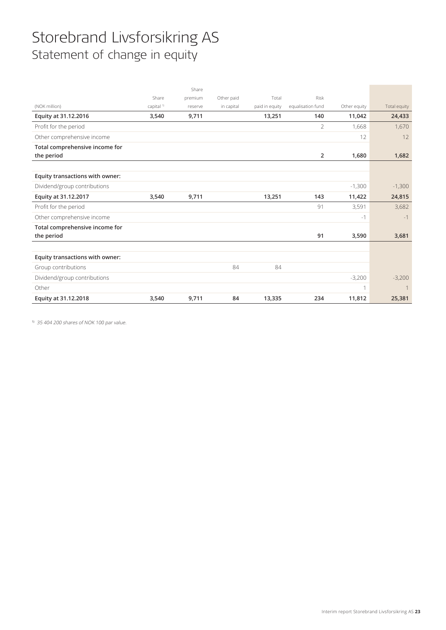## Storebrand Livsforsikring AS Statement of change in equity

|                                 |                       | Share   |            |                |                   |              |              |
|---------------------------------|-----------------------|---------|------------|----------------|-------------------|--------------|--------------|
|                                 | Share                 | premium | Other paid | Total          | <b>Risk</b>       |              |              |
| (NOK million)                   | capital <sup>1)</sup> | reserve | in capital | paid in equity | equalisation fund | Other equity | Total equity |
| Equity at 31.12.2016            | 3,540                 | 9,711   |            | 13,251         | 140               | 11,042       | 24,433       |
| Profit for the period           |                       |         |            |                | $\overline{2}$    | 1,668        | 1,670        |
| Other comprehensive income      |                       |         |            |                |                   | 12           | 12           |
| Total comprehensive income for  |                       |         |            |                |                   |              |              |
| the period                      |                       |         |            |                | $\overline{2}$    | 1,680        | 1,682        |
|                                 |                       |         |            |                |                   |              |              |
| Equity transactions with owner: |                       |         |            |                |                   |              |              |
| Dividend/group contributions    |                       |         |            |                |                   | $-1,300$     | $-1,300$     |
| Equity at 31.12.2017            | 3,540                 | 9,711   |            | 13,251         | 143               | 11,422       | 24,815       |
| Profit for the period           |                       |         |            |                | 91                | 3,591        | 3,682        |
| Other comprehensive income      |                       |         |            |                |                   | $-1$         | $-1$         |
| Total comprehensive income for  |                       |         |            |                |                   |              |              |
| the period                      |                       |         |            |                | 91                | 3,590        | 3,681        |
|                                 |                       |         |            |                |                   |              |              |
| Equity transactions with owner: |                       |         |            |                |                   |              |              |
| Group contributions             |                       |         | 84         | 84             |                   |              |              |
| Dividend/group contributions    |                       |         |            |                |                   | $-3,200$     | $-3,200$     |
| Other                           |                       |         |            |                |                   | $\mathbf 1$  |              |
| Equity at 31.12.2018            | 3,540                 | 9,711   | 84         | 13,335         | 234               | 11,812       | 25,381       |

1) 35 404 200 shares of NOK 100 par value.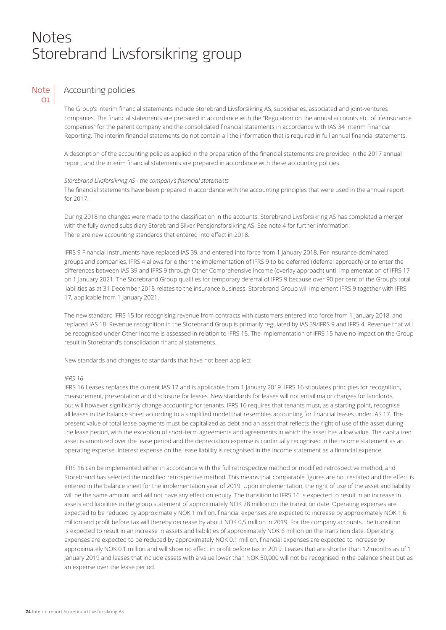## Notes Storebrand Livsforsikring group

### **Note** 01

### Accounting policies

The Group's interim financial statements include Storebrand Livsforsikring AS, subsidiaries, associated and joint-ventures companies. The financial statements are prepared in accordance with the "Regulation on the annual accounts etc. of lifeinsurance companies" for the parent company and the consolidated financial statements in accordance with IAS 34 Interim Financial Reporting. The interim financial statements do not contain all the information that is required in full annual financial statements.

A description of the accounting policies applied in the preparation of the financial statements are provided in the 2017 annual report, and the interim financial statements are prepared in accordance with these accounting policies.

#### *Storebrand Livsforsikring AS - the company's financial statements*

The financial statements have been prepared in accordance with the accounting principles that were used in the annual report for 2017.

During 2018 no changes were made to the classification in the accounts. Storebrand Livsforsikring AS has completed a merger with the fully owned subsidiary Storebrand Silver Pensjonsforsikring AS. See note 4 for further information. There are new accounting standards that entered into effect in 2018.

IFRS 9 Financial Instruments have replaced IAS 39, and entered into force from 1 January 2018. For insurance-dominated groups and companies, IFRS 4 allows for either the implementation of IFRS 9 to be deferred (deferral approach) or to enter the differences between IAS 39 and IFRS 9 through Other Comprehensive Income (overlay approach) until implementation of IFRS 17 on 1 January 2021. The Storebrand Group qualifies for temporary deferral of IFRS 9 because over 90 per cent of the Group's total liabilities as at 31 December 2015 relates to the insurance business. Storebrand Group will implement IFRS 9 together with IFRS 17, applicable from 1 January 2021.

The new standard IFRS 15 for recognising revenue from contracts with customers entered into force from 1 January 2018, and replaced IAS 18. Revenue recognition in the Storebrand Group is primarily regulated by IAS 39/IFRS 9 and IFRS 4. Revenue that will be recognised under Other Income is assessed in relation to IFRS 15. The implementation of IFRS 15 have no impact on the Group result in Storebrand's consolidation financial statements.

New standards and changes to standards that have not been applied:

#### *IFRS 16*

IFRS 16 Leases replaces the current IAS 17 and is applicable from 1 January 2019. IFRS 16 stipulates principles for recognition, measurement, presentation and disclosure for leases. New standards for leases will not entail major changes for landlords, but will however significantly change accounting for tenants. IFRS 16 requires that tenants must, as a starting point, recognise all leases in the balance sheet according to a simplified model that resembles accounting for financial leases under IAS 17. The present value of total lease payments must be capitalized as debt and an asset that reflects the right of use of the asset during the lease period, with the exception of short-term agreements and agreements in which the asset has a low value. The capitalized asset is amortized over the lease period and the depreciation expense is continually recognised in the income statement as an operating expense. Interest expense on the lease liability is recognised in the income statement as a financial expence.

IFRS 16 can be implemented either in accordance with the full retrospective method or modified retrospective method, and Storebrand has selected the modified retrospective method. This means that comparable figures are not restated and the effect is entered in the balance sheet for the implementation year of 2019. Upon implementation, the right of use of the asset and liability will be the same amount and will not have any effect on equity. The transition to IFRS 16 is expected to result in an increase in assets and liabilities in the group statement of approximately NOK 78 million on the transition date. Operating expenses are expected to be reduced by approximately NOK 1 million, financial expenses are expected to increase by approximately NOK 1,6 million and profit before tax will thereby decrease by about NOK 0,5 million in 2019. For the company accounts, the transition is expected to result in an increase in assets and liabilities of approximately NOK 6 million on the transition date. Operating expenses are expected to be reduced by approximately NOK 0,1 million, financial expenses are expected to increase by approximately NOK 0,1 million and will show no effect in profit before tax in 2019. Leases that are shorter than 12 months as of 1 January 2019 and leases that include assets with a value lower than NOK 50,000 will not be recognised in the balance sheet but as an expense over the lease period.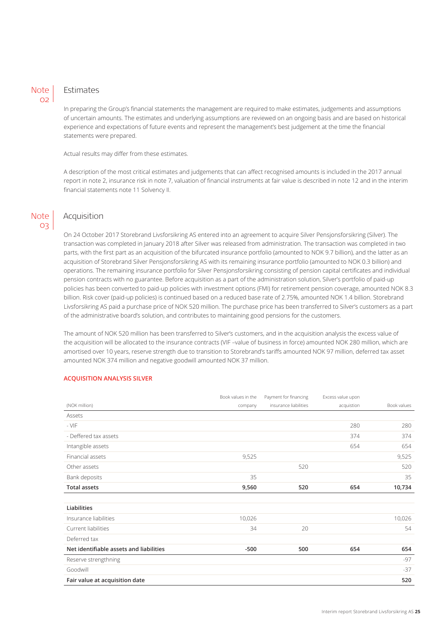### Note  $\Omega$

### Estimates

In preparing the Group's financial statements the management are required to make estimates, judgements and assumptions of uncertain amounts. The estimates and underlying assumptions are reviewed on an ongoing basis and are based on historical experience and expectations of future events and represent the management's best judgement at the time the financial statements were prepared.

Actual results may differ from these estimates.

A description of the most critical estimates and judgements that can affect recognised amounts is included in the 2017 annual report in note 2, insurance risk in note 7, valuation of financial instruments at fair value is described in note 12 and in the interim financial statements note 11 Solvency II.

## **Note** 03

### Acquisition

On 24 October 2017 Storebrand Livsforsikring AS entered into an agreement to acquire Silver Pensjonsforsikring (Silver). The transaction was completed in January 2018 after Silver was released from administration. The transaction was completed in two parts, with the first part as an acquisition of the bifurcated insurance portfolio (amounted to NOK 9.7 billion), and the latter as an acquisition of Storebrand Silver Pensjonsforsikring AS with its remaining insurance portfolio (amounted to NOK 0.3 billion) and operations. The remaining insurance portfolio for Silver Pensjonsforsikring consisting of pension capital certificates and individual pension contracts with no guarantee. Before acquisition as a part of the administration solution, Silver's portfolio of paid-up policies has been converted to paid-up policies with investment options (FMI) for retirement pension coverage, amounted NOK 8.3 billion. Risk cover (paid-up policies) is continued based on a reduced base rate of 2.75%, amounted NOK 1.4 billion. Storebrand Livsforsikring AS paid a purchase price of NOK 520 million. The purchase price has been transferred to Silver's customers as a part of the administrative board's solution, and contributes to maintaining good pensions for the customers.

The amount of NOK 520 million has been transferred to Silver's customers, and in the acquisition analysis the excess value of the acquisition will be allocated to the insurance contracts (VIF –value of business in force) amounted NOK 280 million, which are amortised over 10 years, reserve strength due to transition to Storebrand's tariffs amounted NOK 97 million, deferred tax asset amounted NOK 374 million and negative goodwill amounted NOK 37 million.

### **ACQUISITION ANALYSIS SILVER**

|                                         | Book values in the | Payment for financing | Excess value upon |             |
|-----------------------------------------|--------------------|-----------------------|-------------------|-------------|
| (NOK million)                           | company            | insurance liabilities | acquistion        | Book values |
| Assets                                  |                    |                       |                   |             |
| $-VIF$                                  |                    |                       | 280               | 280         |
| - Deffered tax assets                   |                    |                       | 374               | 374         |
| Intangible assets                       |                    |                       | 654               | 654         |
| Financial assets                        | 9,525              |                       |                   | 9,525       |
| Other assets                            |                    | 520                   |                   | 520         |
| Bank deposits                           | 35                 |                       |                   | 35          |
| <b>Total assets</b>                     | 9,560              | 520                   | 654               | 10,734      |
|                                         |                    |                       |                   |             |
| Liabilities                             |                    |                       |                   |             |
| Insurance liabilities                   | 10,026             |                       |                   | 10,026      |
| Current liabilities                     | 34                 | 20                    |                   | 54          |
| Deferred tax                            |                    |                       |                   |             |
| Net identifiable assets and liabilities | $-500$             | 500                   | 654               | 654         |
| Reserve strengthning                    |                    |                       |                   | $-97$       |
| Goodwill                                |                    |                       |                   | $-37$       |
| Fair value at acquisition date          |                    |                       |                   | 520         |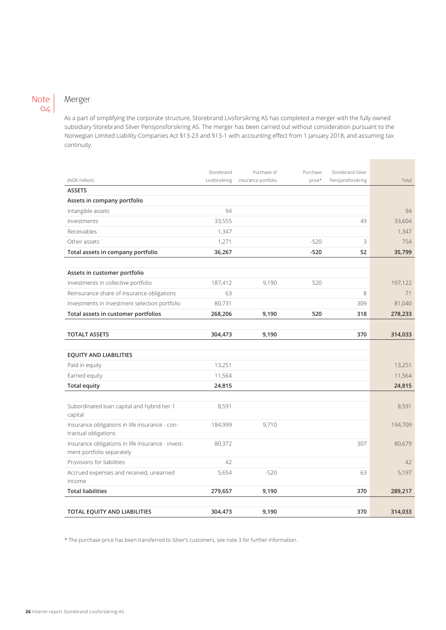### Note 04

## Merger

As a part of simplifying the corporate structure, Storebrand Livsforsikring AS has completed a merger with the fully owned subsidiary Storebrand Silver Pensjonsforsikring AS. The merger has been carried out without consideration pursuant to the Norwegian Limited Liability Companies Act §13-23 and §13-1 with accounting effect from 1 January 2018, and assuming tax continuity.

**Contract Contract** 

|                                                                                | Storebrand     | Purchase of         | Purchase | Storebrand Silver  |         |
|--------------------------------------------------------------------------------|----------------|---------------------|----------|--------------------|---------|
| (NOK million)                                                                  | Livsforsikring | insurance portfolio | price*   | Pensjonsforsikring | Total   |
| <b>ASSETS</b>                                                                  |                |                     |          |                    |         |
| Assets in company portfolio                                                    |                |                     |          |                    |         |
| Intangible assets                                                              | 94             |                     |          |                    | 94      |
| Investments                                                                    | 33,555         |                     |          | 49                 | 33,604  |
| Receivables                                                                    | 1,347          |                     |          |                    | 1,347   |
| Other assets                                                                   | 1,271          |                     | $-520$   | 3                  | 754     |
| Total assets in company portfolio                                              | 36,267         |                     | $-520$   | 52                 | 35,799  |
|                                                                                |                |                     |          |                    |         |
| Assets in customer portfolio                                                   |                |                     |          |                    |         |
| Investments in collective portfolio                                            | 187,412        | 9,190               | 520      |                    | 197,122 |
| Reinsurance share of insurance obligations                                     | 63             |                     |          | 8                  | 71      |
| Investments in investment selection portfolio                                  | 80,731         |                     |          | 309                | 81,040  |
| Total assets in customer portfolios                                            | 268,206        | 9,190               | 520      | 318                | 278,233 |
|                                                                                |                |                     |          |                    |         |
| <b>TOTALT ASSETS</b>                                                           | 304,473        | 9,190               |          | 370                | 314,033 |
|                                                                                |                |                     |          |                    |         |
| <b>EQUITY AND LIABILITIES</b>                                                  |                |                     |          |                    |         |
| Paid in equity                                                                 | 13,251         |                     |          |                    | 13,251  |
| Earned equity                                                                  | 11,564         |                     |          |                    | 11,564  |
| <b>Total equity</b>                                                            | 24,815         |                     |          |                    | 24,815  |
|                                                                                |                |                     |          |                    |         |
| Subordinated loan capital and hybrid tier 1                                    | 8,591          |                     |          |                    | 8,591   |
| capital                                                                        |                |                     |          |                    |         |
| Insurance obligations in life insurance - con-<br>tractual obligations         | 184,999        | 9,710               |          |                    | 194,709 |
| Insurance obligations in life insurance - invest-<br>ment portfolio separately | 80,372         |                     |          | 307                | 80,679  |
| Provisions for liabilities                                                     | 42             |                     |          |                    | 42      |
| Accrued expenses and received, unearned                                        | 5,654          | $-520$              |          | 63                 | 5,197   |
| income                                                                         |                |                     |          |                    |         |
| <b>Total liabilities</b>                                                       | 279,657        | 9,190               |          | 370                | 289,217 |
|                                                                                |                |                     |          |                    |         |
| TOTAL EQUITY AND LIABILITIES                                                   | 304,473        | 9,190               |          | 370                | 314,033 |

\* The purchase price has been transferred to Silver's customers, see note 3 for further information.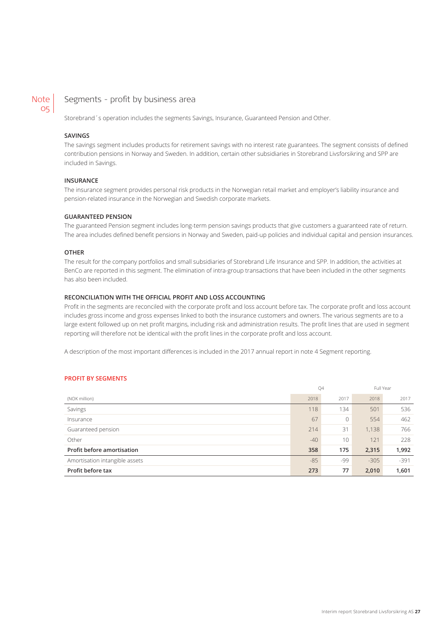#### Segments - profit by business area Note 05

Storebrand´s operation includes the segments Savings, Insurance, Guaranteed Pension and Other.

### **SAVINGS**

The savings segment includes products for retirement savings with no interest rate guarantees. The segment consists of defined contribution pensions in Norway and Sweden. In addition, certain other subsidiaries in Storebrand Livsforsikring and SPP are included in Savings.

#### **INSURANCE**

The insurance segment provides personal risk products in the Norwegian retail market and employer's liability insurance and pension-related insurance in the Norwegian and Swedish corporate markets.

### **GUARANTEED PENSION**

The guaranteed Pension segment includes long-term pension savings products that give customers a guaranteed rate of return. The area includes defined benefit pensions in Norway and Sweden, paid-up policies and individual capital and pension insurances.

#### **OTHER**

The result for the company portfolios and small subsidiaries of Storebrand Life Insurance and SPP. In addition, the activities at BenCo are reported in this segment. The elimination of intra-group transactions that have been included in the other segments has also been included.

#### **RECONCILIATION WITH THE OFFICIAL PROFIT AND LOSS ACCOUNTING**

Profit in the segments are reconciled with the corporate profit and loss account before tax. The corporate profit and loss account includes gross income and gross expenses linked to both the insurance customers and owners. The various segments are to a large extent followed up on net profit margins, including risk and administration results. The profit lines that are used in segment reporting will therefore not be identical with the profit lines in the corporate profit and loss account.

A description of the most important differences is included in the 2017 annual report in note 4 Segment reporting.

#### **PROFIT BY SEGMENTS**

|                                |       | Q4   | Full Year |        |
|--------------------------------|-------|------|-----------|--------|
| (NOK million)                  | 2018  | 2017 | 2018      | 2017   |
| Savings                        | 118   | 134  | 501       | 536    |
| Insurance                      | 67    | 0    | 554       | 462    |
| Guaranteed pension             | 214   | 31   | 1,138     | 766    |
| Other                          | $-40$ | 10   | 121       | 228    |
| Profit before amortisation     | 358   | 175  | 2,315     | 1,992  |
| Amortisation intangible assets | $-85$ | -99  | $-305$    | $-391$ |
| Profit before tax              | 273   | 77   | 2,010     | 1,601  |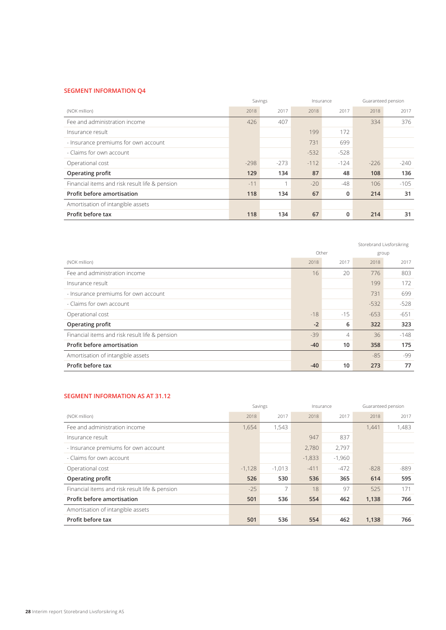#### **SEGMENT INFORMATION Q4**

|                                                |        | Savings |        | Insurance | Guaranteed pension |        |
|------------------------------------------------|--------|---------|--------|-----------|--------------------|--------|
| (NOK million)                                  | 2018   | 2017    | 2018   | 2017      | 2018               | 2017   |
| Fee and administration income                  | 426    | 407     |        |           | 334                | 376    |
| Insurance result                               |        |         | 199    | 172       |                    |        |
| - Insurance premiums for own account           |        |         | 731    | 699       |                    |        |
| - Claims for own account                       |        |         | $-532$ | $-528$    |                    |        |
| Operational cost                               | $-298$ | $-273$  | $-112$ | $-124$    | $-226$             | $-240$ |
| Operating profit                               | 129    | 134     | 87     | 48        | 108                | 136    |
| Financial items and risk result life & pension | $-11$  |         | $-20$  | $-48$     | 106                | $-105$ |
| Profit before amortisation                     | 118    | 134     | 67     | 0         | 214                | 31     |
| Amortisation of intangible assets              |        |         |        |           |                    |        |
| Profit before tax                              | 118    | 134     | 67     | 0         | 214                | 31     |

|                                                |       |                |        | Storebrand Livsforsikring |
|------------------------------------------------|-------|----------------|--------|---------------------------|
|                                                | Other |                |        | group                     |
| (NOK million)                                  | 2018  | 2017           | 2018   | 2017                      |
| Fee and administration income                  | 16    | 20             | 776    | 803                       |
| Insurance result                               |       |                | 199    | 172                       |
| - Insurance premiums for own account           |       |                | 731    | 699                       |
| - Claims for own account                       |       |                | $-532$ | $-528$                    |
| Operational cost                               | $-18$ | $-15$          | $-653$ | $-651$                    |
| Operating profit                               | $-2$  | 6              | 322    | 323                       |
| Financial items and risk result life & pension | $-39$ | $\overline{4}$ | 36     | $-148$                    |
| Profit before amortisation                     | $-40$ | 10             | 358    | 175                       |
| Amortisation of intangible assets              |       |                | $-85$  | -99                       |
| Profit before tax                              | $-40$ | 10             | 273    | 77                        |

### **SEGMENT INFORMATION AS AT 31.12**

|                                                |          | Savings  |          | Insurance |        | Guaranteed pension |
|------------------------------------------------|----------|----------|----------|-----------|--------|--------------------|
| (NOK million)                                  | 2018     | 2017     | 2018     | 2017      | 2018   | 2017               |
| Fee and administration income                  | 1,654    | 1,543    |          |           | 1,441  | 1,483              |
| Insurance result                               |          |          | 947      | 837       |        |                    |
| - Insurance premiums for own account           |          |          | 2.780    | 2.797     |        |                    |
| - Claims for own account                       |          |          | $-1,833$ | $-1,960$  |        |                    |
| Operational cost                               | $-1,128$ | $-1,013$ | $-411$   | $-472$    | $-828$ | $-889$             |
| Operating profit                               | 526      | 530      | 536      | 365       | 614    | 595                |
| Financial items and risk result life & pension | $-25$    |          | 18       | 97        | 525    | 171                |
| Profit before amortisation                     | 501      | 536      | 554      | 462       | 1,138  | 766                |
| Amortisation of intangible assets              |          |          |          |           |        |                    |
| Profit before tax                              | 501      | 536      | 554      | 462       | 1,138  | 766                |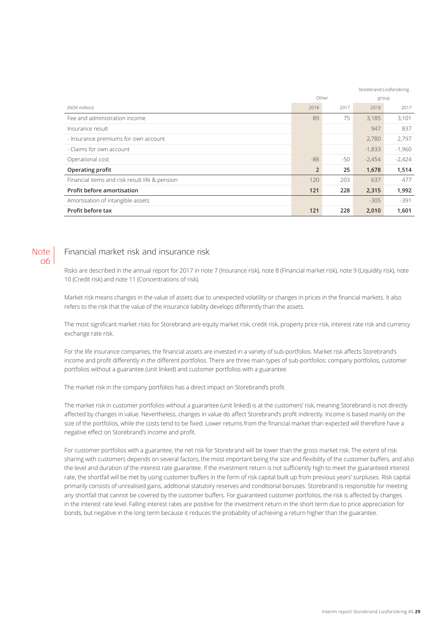|                                                | Storebrand Livsforsikring |       |          |          |
|------------------------------------------------|---------------------------|-------|----------|----------|
|                                                | Other                     |       |          | group    |
| (NOK million)                                  | 2018                      | 2017  | 2018     | 2017     |
| Fee and administration income                  | 89                        | 75    | 3,185    | 3,101    |
| Insurance result                               |                           |       | 947      | 837      |
| - Insurance premiums for own account           |                           |       | 2,780    | 2,797    |
| - Claims for own account                       |                           |       | $-1,833$ | $-1,960$ |
| Operational cost                               | $-88$                     | $-50$ | $-2,454$ | $-2,424$ |
| Operating profit                               | $\overline{2}$            | 25    | 1,678    | 1,514    |
| Financial items and risk result life & pension | 120                       | 203   | 637      | 477      |
| <b>Profit before amortisation</b>              | 121                       | 228   | 2,315    | 1,992    |
| Amortisation of intangible assets              |                           |       | $-305$   | $-391$   |
| Profit before tax                              | 121                       | 228   | 2,010    | 1,601    |

### Note 06

## Financial market risk and insurance risk

Risks are described in the annual report for 2017 in note 7 (Insurance risk), note 8 (Financial market risk), note 9 (Liquidity risk), note 10 (Credit risk) and note 11 (Concentrations of risk).

Market risk means changes in the value of assets due to unexpected volatility or changes in prices in the financial markets. It also refers to the risk that the value of the insurance liability develops differently than the assets.

The most significant market risks for Storebrand are equity market risk, credit risk, property price risk, interest rate risk and currency exchange rate risk.

For the life insurance companies, the financial assets are invested in a variety of sub-portfolios. Market risk affects Storebrand's income and profit differently in the different portfolios. There are three main types of sub-portfolios: company portfolios, customer portfolios without a guarantee (unit linked) and customer portfolios with a guarantee.

The market risk in the company portfolios has a direct impact on Storebrand's profit.

The market risk in customer portfolios without a guarantee (unit linked) is at the customers' risk, meaning Storebrand is not directly affected by changes in value. Nevertheless, changes in value do affect Storebrand's profit indirectly. Income is based mainly on the size of the portfolios, while the costs tend to be fixed. Lower returns from the financial market than expected will therefore have a negative effect on Storebrand's income and profit.

For customer portfolios with a guarantee, the net risk for Storebrand will be lower than the gross market risk. The extent of risk sharing with customers depends on several factors, the most important being the size and flexibility of the customer buffers, and also the level and duration of the interest rate guarantee. If the investment return is not sufficiently high to meet the guaranteed interest rate, the shortfall will be met by using customer buffers in the form of risk capital built up from previous years' surpluses. Risk capital primarily consists of unrealised gains, additional statutory reserves and conditional bonuses. Storebrand is responsible for meeting any shortfall that cannot be covered by the customer buffers. For guaranteed customer portfolios, the risk is affected by changes in the interest rate level. Falling interest rates are positive for the investment return in the short term due to price appreciation for bonds, but negative in the long term because it reduces the probability of achieving a return higher than the guarantee.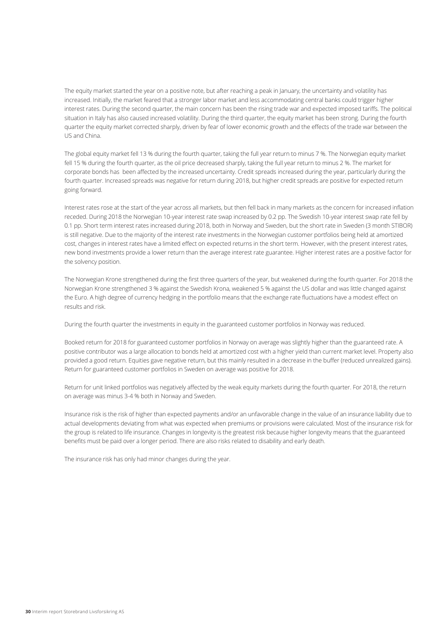The equity market started the year on a positive note, but after reaching a peak in January, the uncertainty and volatility has increased. Initially, the market feared that a stronger labor market and less accommodating central banks could trigger higher interest rates. During the second quarter, the main concern has been the rising trade war and expected imposed tariffs. The political situation in Italy has also caused increased volatility. During the third quarter, the equity market has been strong. During the fourth quarter the equity market corrected sharply, driven by fear of lower economic growth and the effects of the trade war between the US and China.

The global equity market fell 13 % during the fourth quarter, taking the full year return to minus 7 %. The Norwegian equity market fell 15 % during the fourth quarter, as the oil price decreased sharply, taking the full year return to minus 2 %. The market for corporate bonds has been affected by the increased uncertainty. Credit spreads increased during the year, particularly during the fourth quarter. Increased spreads was negative for return during 2018, but higher credit spreads are positive for expected return going forward.

Interest rates rose at the start of the year across all markets, but then fell back in many markets as the concern for increased inflation receded. During 2018 the Norwegian 10-year interest rate swap increased by 0.2 pp. The Swedish 10-year interest swap rate fell by 0.1 pp. Short term interest rates increased during 2018, both in Norway and Sweden, but the short rate in Sweden (3 month STIBOR) is still negative. Due to the majority of the interest rate investments in the Norwegian customer portfolios being held at amortized cost, changes in interest rates have a limited effect on expected returns in the short term. However, with the present interest rates, new bond investments provide a lower return than the average interest rate guarantee. Higher interest rates are a positive factor for the solvency position.

The Norwegian Krone strengthened during the first three quarters of the year, but weakened during the fourth quarter. For 2018 the Norwegian Krone strengthened 3 % against the Swedish Krona, weakened 5 % against the US dollar and was little changed against the Euro. A high degree of currency hedging in the portfolio means that the exchange rate fluctuations have a modest effect on results and risk.

During the fourth quarter the investments in equity in the guaranteed customer portfolios in Norway was reduced.

Booked return for 2018 for guaranteed customer portfolios in Norway on average was slightly higher than the guaranteed rate. A positive contributor was a large allocation to bonds held at amortized cost with a higher yield than current market level. Property also provided a good return. Equities gave negative return, but this mainly resulted in a decrease in the buffer (reduced unrealized gains). Return for guaranteed customer portfolios in Sweden on average was positive for 2018.

Return for unit linked portfolios was negatively affected by the weak equity markets during the fourth quarter. For 2018, the return on average was minus 3-4 % both in Norway and Sweden.

Insurance risk is the risk of higher than expected payments and/or an unfavorable change in the value of an insurance liability due to actual developments deviating from what was expected when premiums or provisions were calculated. Most of the insurance risk for the group is related to life insurance. Changes in longevity is the greatest risk because higher longevity means that the guaranteed benefits must be paid over a longer period. There are also risks related to disability and early death.

The insurance risk has only had minor changes during the year.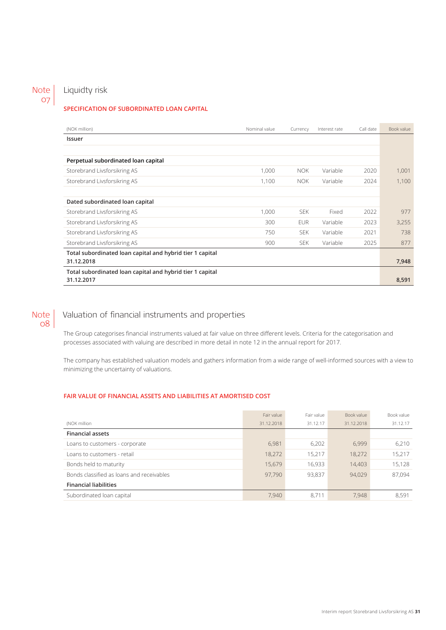## Note 07

## Liquidty risk

### **SPECIFICATION OF SUBORDINATED LOAN CAPITAL**

| (NOK million)                                             | Nominal value | Currency   | Interest rate | Call date | Book value |
|-----------------------------------------------------------|---------------|------------|---------------|-----------|------------|
| Issuer                                                    |               |            |               |           |            |
|                                                           |               |            |               |           |            |
| Perpetual subordinated loan capital                       |               |            |               |           |            |
| Storebrand Livsforsikring AS                              | 1,000         | NOK.       | Variable      | 2020      | 1,001      |
| Storebrand Livsforsikring AS                              | 1,100         | NOK.       | Variable      | 2024      | 1.100      |
|                                                           |               |            |               |           |            |
| Dated subordinated loan capital                           |               |            |               |           |            |
| Storebrand Livsforsikring AS                              | 1.000         | <b>SEK</b> | Fixed         | 2022      | 977        |
| Storebrand Livsforsikring AS                              | 300           | <b>EUR</b> | Variable      | 2023      | 3,255      |
| Storebrand Livsforsikring AS                              | 750           | <b>SEK</b> | Variable      | 2021      | 738        |
| Storebrand Livsforsikring AS                              | 900           | <b>SEK</b> | Variable      | 2025      | 877        |
| Total subordinated loan capital and hybrid tier 1 capital |               |            |               |           |            |
| 31.12.2018                                                |               |            |               |           | 7,948      |
| Total subordinated loan capital and hybrid tier 1 capital |               |            |               |           |            |
| 31.12.2017                                                |               |            |               |           | 8,591      |

### Note  $08<sup>o</sup>$

## Valuation of financial instruments and properties

The Group categorises financial instruments valued at fair value on three different levels. Criteria for the categorisation and processes associated with valuing are described in more detail in note 12 in the annual report for 2017.

The company has established valuation models and gathers information from a wide range of well-informed sources with a view to minimizing the uncertainty of valuations.

### **FAIR VALUE OF FINANCIAL ASSETS AND LIABILITIES AT AMORTISED COST**

|                                           | Fair value | Fair value | Book value | Book value |
|-------------------------------------------|------------|------------|------------|------------|
| (NOK million                              | 31.12.2018 | 31.12.17   | 31.12.2018 | 31.12.17   |
| <b>Financial assets</b>                   |            |            |            |            |
| Loans to customers - corporate            | 6.981      | 6.202      | 6.999      | 6,210      |
| Loans to customers - retail               | 18,272     | 15,217     | 18.272     | 15,217     |
| Bonds held to maturity                    | 15.679     | 16.933     | 14.403     | 15.128     |
| Bonds classified as loans and receivables | 97.790     | 93,837     | 94.029     | 87,094     |
| <b>Financial liabilities</b>              |            |            |            |            |
| Subordinated loan capital                 | 7,940      | 8.711      | 7,948      | 8.591      |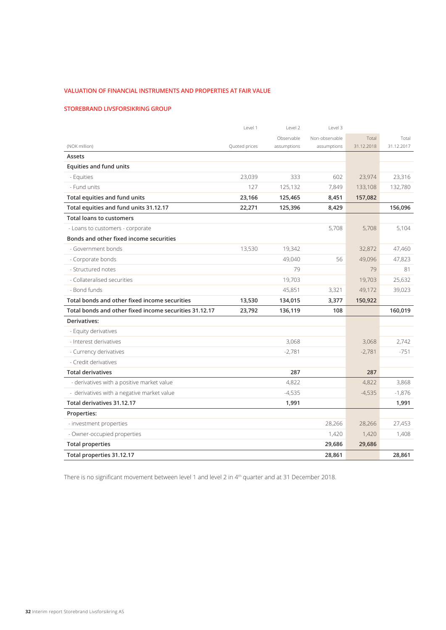### **VALUATION OF FINANCIAL INSTRUMENTS AND PROPERTIES AT FAIR VALUE**

### **STOREBRAND LIVSFORSIKRING GROUP**

|                                                        | Level 1       | Level 2     | Level 3        |            |            |
|--------------------------------------------------------|---------------|-------------|----------------|------------|------------|
|                                                        |               | Observable  | Non-observable | Total      | Total      |
| (NOK million)                                          | Quoted prices | assumptions | assumptions    | 31.12.2018 | 31.12.2017 |
| Assets                                                 |               |             |                |            |            |
| <b>Equities and fund units</b>                         |               |             |                |            |            |
| - Equities                                             | 23,039        | 333         | 602            | 23,974     | 23,316     |
| - Fund units                                           | 127           | 125,132     | 7,849          | 133,108    | 132,780    |
| Total equities and fund units                          | 23,166        | 125,465     | 8,451          | 157,082    |            |
| Total equities and fund units 31.12.17                 | 22,271        | 125,396     | 8,429          |            | 156,096    |
| <b>Total loans to customers</b>                        |               |             |                |            |            |
| - Loans to customers - corporate                       |               |             | 5,708          | 5,708      | 5,104      |
| Bonds and other fixed income securities                |               |             |                |            |            |
| - Government bonds                                     | 13,530        | 19,342      |                | 32,872     | 47,460     |
| - Corporate bonds                                      |               | 49,040      | 56             | 49,096     | 47,823     |
| - Structured notes                                     |               | 79          |                | 79         | 81         |
| - Collateralised securities                            |               | 19,703      |                | 19,703     | 25,632     |
| - Bond funds                                           |               | 45,851      | 3,321          | 49,172     | 39,023     |
| Total bonds and other fixed income securities          | 13,530        | 134,015     | 3,377          | 150,922    |            |
| Total bonds and other fixed income securities 31.12.17 | 23,792        | 136,119     | 108            |            | 160,019    |
| Derivatives:                                           |               |             |                |            |            |
| - Equity derivatives                                   |               |             |                |            |            |
| - Interest derivatives                                 |               | 3,068       |                | 3,068      | 2,742      |
| - Currency derivatives                                 |               | $-2,781$    |                | $-2,781$   | $-751$     |
| - Credit derivatives                                   |               |             |                |            |            |
| <b>Total derivatives</b>                               |               | 287         |                | 287        |            |
| - derivatives with a positive market value             |               | 4,822       |                | 4,822      | 3,868      |
| - derivatives with a negative market value             |               | $-4,535$    |                | $-4,535$   | $-1,876$   |
| Total derivatives 31.12.17                             |               | 1,991       |                |            | 1,991      |
| Properties:                                            |               |             |                |            |            |
| - investment properties                                |               |             | 28,266         | 28,266     | 27,453     |
| - Owner-occupied properties                            |               |             | 1,420          | 1,420      | 1,408      |
| <b>Total properties</b>                                |               |             | 29,686         | 29,686     |            |
| Total properties 31.12.17                              |               |             | 28,861         |            | 28,861     |

There is no significant movement between level 1 and level 2 in 4<sup>th</sup> quarter and at 31 December 2018.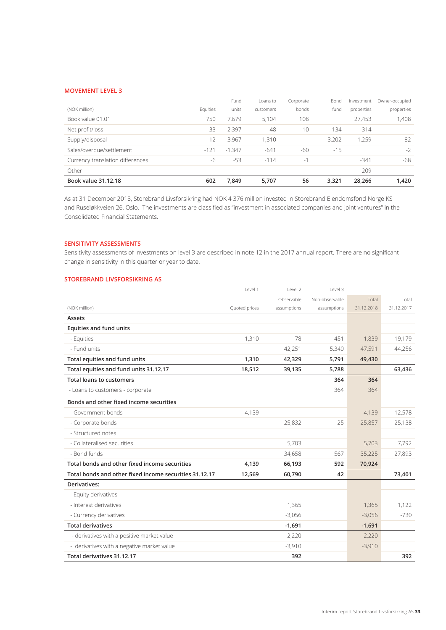#### **MOVEMENT LEVEL 3**

|                                  |          | Fund     | Loans to  | Corporate | Bond  | Investment | Owner-occupied |
|----------------------------------|----------|----------|-----------|-----------|-------|------------|----------------|
| (NOK million)                    | Equities | units    | customers | bonds     | fund  | properties | properties     |
| Book value 01.01                 | 750      | 7,679    | 5,104     | 108       |       | 27,453     | 1,408          |
| Net profit/loss                  | $-33$    | $-2,397$ | 48        | 10        | 134   | $-314$     |                |
| Supply/disposal                  | 12       | 3.967    | 1,310     |           | 3,202 | 1.259      | 82             |
| Sales/overdue/settlement         | $-121$   | $-1.347$ | $-641$    | -60       | $-15$ |            | $-2$           |
| Currency translation differences | -6       | $-53$    | $-114$    | $-1$      |       | $-341$     | -68            |
| Other                            |          |          |           |           |       | 209        |                |
| <b>Book value 31.12.18</b>       | 602      | 7.849    | 5.707     | 56        | 3,321 | 28.266     | 1,420          |

As at 31 December 2018, Storebrand Livsforsikring had NOK 4 376 million invested in Storebrand Eiendomsfond Norge KS and Ruseløkkveien 26, Oslo. The investments are classified as "investment in associated companies and joint ventures" in the Consolidated Financial Statements.

### **SENSITIVITY ASSESSMENTS**

Sensitivity assessments of investments on level 3 are described in note 12 in the 2017 annual report. There are no significant change in sensitivity in this quarter or year to date.

#### **STOREBRAND LIVSFORSIKRING AS**

|                                                        | Level 1       | Level 2     | Level 3        |            |            |
|--------------------------------------------------------|---------------|-------------|----------------|------------|------------|
|                                                        |               | Observable  | Non-observable | Total      | Total      |
| (NOK million)                                          | Quoted prices | assumptions | assumptions    | 31.12.2018 | 31.12.2017 |
| Assets                                                 |               |             |                |            |            |
| <b>Equities and fund units</b>                         |               |             |                |            |            |
| - Equities                                             | 1,310         | 78          | 451            | 1,839      | 19,179     |
| - Fund units                                           |               | 42,251      | 5,340          | 47,591     | 44,256     |
| Total equities and fund units                          | 1,310         | 42,329      | 5,791          | 49,430     |            |
| Total equities and fund units 31.12.17                 | 18,512        | 39,135      | 5,788          |            | 63,436     |
| <b>Total loans to customers</b>                        |               |             | 364            | 364        |            |
| - Loans to customers - corporate                       |               |             | 364            | 364        |            |
| Bonds and other fixed income securities                |               |             |                |            |            |
| - Government bonds                                     | 4,139         |             |                | 4,139      | 12,578     |
| - Corporate bonds                                      |               | 25,832      | 25             | 25,857     | 25,138     |
| - Structured notes                                     |               |             |                |            |            |
| - Collateralised securities                            |               | 5,703       |                | 5,703      | 7,792      |
| - Bond funds                                           |               | 34,658      | 567            | 35,225     | 27,893     |
| Total bonds and other fixed income securities          | 4,139         | 66,193      | 592            | 70,924     |            |
| Total bonds and other fixed income securities 31.12.17 | 12,569        | 60,790      | 42             |            | 73,401     |
| Derivatives:                                           |               |             |                |            |            |
| - Equity derivatives                                   |               |             |                |            |            |
| - Interest derivatives                                 |               | 1,365       |                | 1,365      | 1,122      |
| - Currency derivatives                                 |               | $-3,056$    |                | $-3,056$   | $-730$     |
| <b>Total derivatives</b>                               |               | $-1,691$    |                | $-1,691$   |            |
| - derivatives with a positive market value             |               | 2,220       |                | 2,220      |            |
| - derivatives with a negative market value             |               | $-3,910$    |                | $-3,910$   |            |
| Total derivatives 31.12.17                             |               | 392         |                |            | 392        |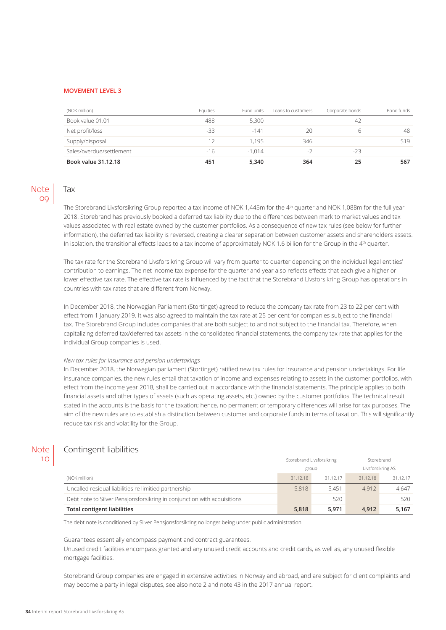#### **MOVEMENT LEVEL 3**

| (NOK million)            | Equities      | Fund units | Loans to customers | Corporate bonds | Bond funds |
|--------------------------|---------------|------------|--------------------|-----------------|------------|
| Book value 01.01         | 488           | 5,300      |                    | 42              |            |
| Net profit/loss          | -33           | $-141$     | 20                 |                 | 48         |
| Supply/disposal          | $\mathcal{P}$ | 1.195      | 346                |                 | 519        |
| Sales/overdue/settlement | $-16$         | $-1.014$   | $-2$               | $-23$           |            |
| Book value 31.12.18      | 451           | 5.340      | 364                | 25              | 567        |

### Note 09

## Tax

The Storebrand Livsforsikring Group reported a tax income of NOK 1,445m for the 4<sup>th</sup> quarter and NOK 1,088m for the full year 2018. Storebrand has previously booked a deferred tax liability due to the differences between mark to market values and tax values associated with real estate owned by the customer portfolios. As a consequence of new tax rules (see below for further information), the deferred tax liability is reversed, creating a clearer separation between customer assets and shareholders assets. In isolation, the transitional effects leads to a tax income of approximately NOK 1.6 billion for the Group in the  $4<sup>th</sup>$  quarter.

The tax rate for the Storebrand Livsforsikring Group will vary from quarter to quarter depending on the individual legal entities' contribution to earnings. The net income tax expense for the quarter and year also reflects effects that each give a higher or lower effective tax rate. The effective tax rate is influenced by the fact that the Storebrand Livsforsikring Group has operations in countries with tax rates that are different from Norway.

In December 2018, the Norwegian Parliament (Stortinget) agreed to reduce the company tax rate from 23 to 22 per cent with effect from 1 January 2019. It was also agreed to maintain the tax rate at 25 per cent for companies subject to the financial tax. The Storebrand Group includes companies that are both subject to and not subject to the financial tax. Therefore, when capitalizing deferred tax/deferred tax assets in the consolidated financial statements, the company tax rate that applies for the individual Group companies is used.

#### *New tax rules for insurance and pension undertakings*

In December 2018, the Norwegian parliament (Stortinget) ratified new tax rules for insurance and pension undertakings. For life insurance companies, the new rules entail that taxation of income and expenses relating to assets in the customer portfolios, with effect from the income year 2018, shall be carried out in accordance with the financial statements. The principle applies to both financial assets and other types of assets (such as operating assets, etc.) owned by the customer portfolios. The technical result stated in the accounts is the basis for the taxation; hence, no permanent or temporary differences will arise for tax purposes. The aim of the new rules are to establish a distinction between customer and corporate funds in terms of taxation. This will significantly reduce tax risk and volatility for the Group.

#### Note 10

## Contingent liabilities

|                                                                         | Storebrand Livsforsikring<br>group |          | Storebrand<br>Livsforsikring AS |          |
|-------------------------------------------------------------------------|------------------------------------|----------|---------------------------------|----------|
|                                                                         |                                    |          |                                 |          |
| (NOK million)                                                           | 31.12.18                           | 31.12.17 | 31.12.18                        | 31.12.17 |
| Uncalled residual liabilities re limitied partnership                   | 5,818                              | 5.451    | 4.912                           | 4.647    |
| Debt note to Silver Pensjonsforsikring in conjunction with acquisitions |                                    | 520      |                                 | 520      |
| <b>Total contigent liabilities</b>                                      | 5,818                              | 5.971    | 4.912                           | 5.167    |

The debt note is conditioned by Silver Pensjonsforsikring no longer being under public administration

Guarantees essentially encompass payment and contract guarantees.

Unused credit facilities encompass granted and any unused credit accounts and credit cards, as well as, any unused flexible mortgage facilities.

Storebrand Group companies are engaged in extensive activities in Norway and abroad, and are subject for client complaints and may become a party in legal disputes, see also note 2 and note 43 in the 2017 annual report.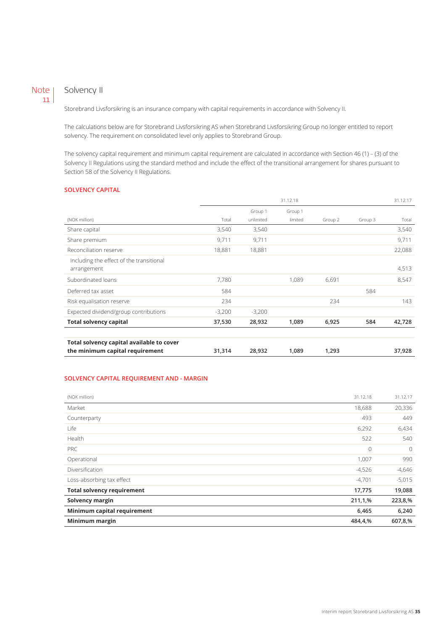#### Solvency II Note  $|11|$

Storebrand Livsforsikring is an insurance company with capital requirements in accordance with Solvency II.

The calculations below are for Storebrand Livsforsikring AS when Storebrand Livsforsikring Group no longer entitled to report solvency. The requirement on consolidated level only applies to Storebrand Group.

The solvency capital requirement and minimum capital requirement are calculated in accordance with Section 46 (1) – (3) of the Solvency II Regulations using the standard method and include the effect of the transitional arrangement for shares pursuant to Section 58 of the Solvency II Regulations.

#### **SOLVENCY CAPITAL**

|                                                                              | 31.12.18 |           |         |         | 31.12.17 |        |
|------------------------------------------------------------------------------|----------|-----------|---------|---------|----------|--------|
|                                                                              |          | Group 1   | Group 1 |         |          |        |
| (NOK million)                                                                | Total    | unlimited | limited | Group 2 | Group 3  | Total  |
| Share capital                                                                | 3,540    | 3,540     |         |         |          | 3,540  |
| Share premium                                                                | 9,711    | 9,711     |         |         |          | 9,711  |
| Reconciliation reserve                                                       | 18,881   | 18,881    |         |         |          | 22,088 |
| Including the effect of the transitional<br>arrangement                      |          |           |         |         |          | 4,513  |
| Subordinated loans                                                           | 7.780    |           | 1.089   | 6,691   |          | 8,547  |
| Deferred tax asset                                                           | 584      |           |         |         | 584      |        |
| Risk equalisation reserve                                                    | 234      |           |         | 234     |          | 143    |
| Expected dividend/group contributions                                        | $-3,200$ | $-3,200$  |         |         |          |        |
| <b>Total solvency capital</b>                                                | 37,530   | 28,932    | 1,089   | 6,925   | 584      | 42,728 |
| Total solvency capital available to cover<br>the minimum capital requirement | 31,314   | 28,932    | 1,089   | 1,293   |          | 37,928 |

#### **SOLVENCY CAPITAL REQUIREMENT AND - MARGIN**

| (NOK million)                     | 31.12.18 | 31.12.17       |
|-----------------------------------|----------|----------------|
| Market                            | 18,688   | 20,336         |
| Counterparty                      | 493      | 449            |
| Life                              | 6,292    | 6,434          |
| Health                            | 522      | 540            |
| PRC                               | 0        | $\overline{0}$ |
| Operational                       | 1,007    | 990            |
| Diversification                   | $-4,526$ | $-4,646$       |
| Loss-absorbing tax effect         | $-4,701$ | $-5,015$       |
| <b>Total solvency requirement</b> | 17,775   | 19,088         |
| Solvency margin                   | 211,1,%  | 223,8,%        |
| Minimum capital requirement       | 6,465    | 6,240          |
| Minimum margin                    | 484,4,%  | 607,8,%        |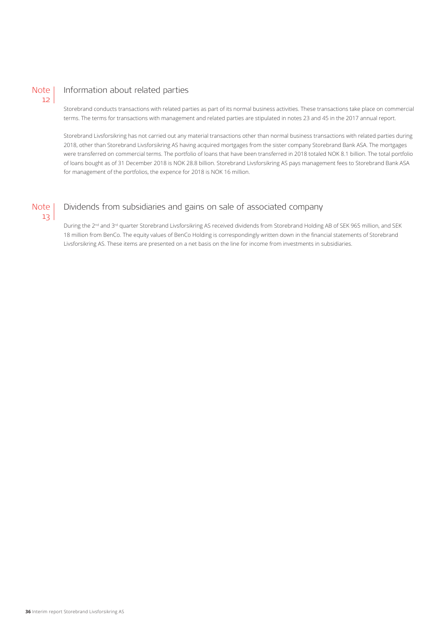### Note  $12$

## Information about related parties

Storebrand conducts transactions with related parties as part of its normal business activities. These transactions take place on commercial terms. The terms for transactions with management and related parties are stipulated in notes 23 and 45 in the 2017 annual report.

Storebrand Livsforsikring has not carried out any material transactions other than normal business transactions with related parties during 2018, other than Storebrand Livsforsikring AS having acquired mortgages from the sister company Storebrand Bank ASA. The mortgages were transferred on commercial terms. The portfolio of loans that have been transferred in 2018 totaled NOK 8.1 billion. The total portfolio of loans bought as of 31 December 2018 is NOK 28.8 billion. Storebrand Livsforsikring AS pays management fees to Storebrand Bank ASA for management of the portfolios, the expence for 2018 is NOK 16 million.

### Note  $13$

## Dividends from subsidiaries and gains on sale of associated company

During the 2<sup>nd</sup> and 3<sup>rd</sup> quarter Storebrand Livsforsikring AS received dividends from Storebrand Holding AB of SEK 965 million, and SEK 18 million from BenCo. The equity values of BenCo Holding is correspondingly written down in the financial statements of Storebrand Livsforsikring AS. These items are presented on a net basis on the line for income from investments in subsidiaries.